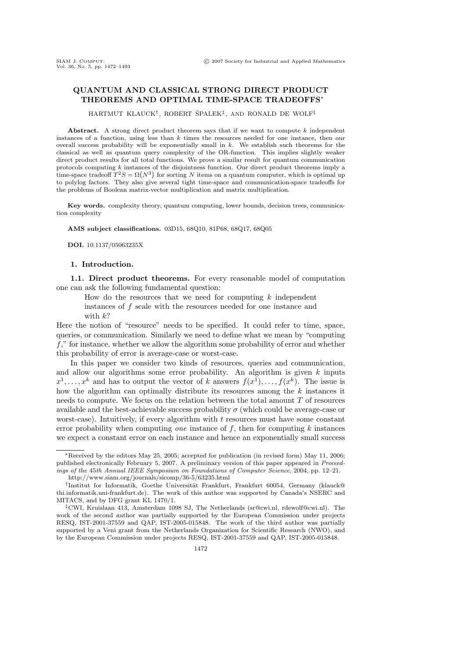# QUANTUM AND CLASSICAL STRONG DIRECT PRODUCT THEOREMS AND OPTIMAL TIME-SPACE TRADEOFFS<sup>∗</sup>

HARTMUT KLAUCK<sup>†</sup>, ROBERT ŠPALEK<sup>‡</sup>, AND RONALD DE WOLF<sup>‡</sup>

Abstract. A strong direct product theorem says that if we want to compute  $k$  independent instances of a function, using less than  $k$  times the resources needed for one instance, then our overall success probability will be exponentially small in  $k$ . We establish such theorems for the classical as well as quantum query complexity of the OR-function. This implies slightly weaker direct product results for all total functions. We prove a similar result for quantum communication protocols computing  $k$  instances of the disjointness function. Our direct product theorems imply a time-space tradeoff  $T^2S = \Omega(N^3)$  for sorting N items on a quantum computer, which is optimal up to polylog factors. They also give several tight time-space and communication-space tradeoffs for the problems of Boolean matrix-vector multiplication and matrix multiplication.

Key words. complexity theory, quantum computing, lower bounds, decision trees, communication complexity

AMS subject classifications. 03D15, 68Q10, 81P68, 68Q17, 68Q05

DOI. 10.1137/05063235X

#### 1. Introduction.

1.1. Direct product theorems. For every reasonable model of computation one can ask the following fundamental question:

How do the resources that we need for computing  $k$  independent instances of f scale with the resources needed for one instance and with  $k$ ?

Here the notion of "resource" needs to be specified. It could refer to time, space, queries, or communication. Similarly we need to define what we mean by "computing  $f$ ," for instance, whether we allow the algorithm some probability of error and whether this probability of error is average-case or worst-case.

In this paper we consider two kinds of resources, queries and communication, and allow our algorithms some error probability. An algorithm is given  $k$  inputs  $x^1, \ldots, x^k$  and has to output the vector of k answers  $f(x^1), \ldots, f(x^k)$ . The issue is how the algorithm can optimally distribute its resources among the  $k$  instances it needs to compute. We focus on the relation between the total amount T of resources available and the best-achievable success probability  $\sigma$  (which could be average-case or worst-case). Intuitively, if every algorithm with  $t$  resources must have some constant error probability when computing *one* instance of  $f$ , then for computing  $k$  instances we expect a constant error on each instance and hence an exponentially small success

<sup>∗</sup>Received by the editors May 25, 2005; accepted for publication (in revised form) May 11, 2006; published electronically February 5, 2007. A preliminary version of this paper appeared in Proceedings of the 45th Annual IEEE Symposium on Foundations of Computer Science, 2004, pp. 12–21.

http://www.siam.org/journals/sicomp/36-5/63235.html

<sup>&</sup>lt;sup>†</sup>Institut for Informatik, Goethe Universität Frankfurt, Frankfurt 60054, Germany (klauck@ thi.informatik.uni-frankfurt.de). The work of this author was supported by Canada's NSERC and MITACS, and by DFG grant KL 1470/1.

<sup>‡</sup>CWI, Kruislaan 413, Amsterdam 1098 SJ, The Netherlands (sr@cwi.nl, rdewolf@cwi.nl). The work of the second author was partially supported by the European Commission under projects RESQ, IST-2001-37559 and QAP, IST-2005-015848. The work of the third author was partially supported by a Veni grant from the Netherlands Organization for Scientific Research (NWO), and by the European Commission under projects RESQ, IST-2001-37559 and QAP, IST-2005-015848.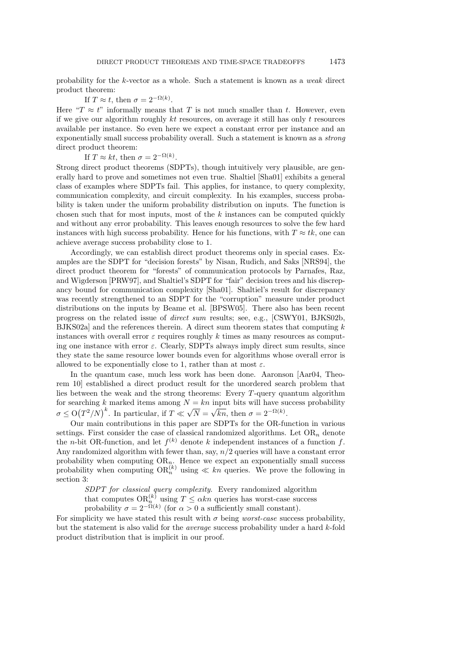probability for the k-vector as a whole. Such a statement is known as a weak direct product theorem:

If  $T \approx t$ , then  $\sigma = 2^{-\Omega(k)}$ .

Here " $T \approx t$ " informally means that T is not much smaller than t. However, even if we give our algorithm roughly  $kt$  resources, on average it still has only  $t$  resources available per instance. So even here we expect a constant error per instance and an exponentially small success probability overall. Such a statement is known as a strong direct product theorem:

If  $T \approx kt$ , then  $\sigma = 2^{-\Omega(k)}$ .

Strong direct product theorems (SDPTs), though intuitively very plausible, are generally hard to prove and sometimes not even true. Shaltiel [Sha01] exhibits a general class of examples where SDPTs fail. This applies, for instance, to query complexity, communication complexity, and circuit complexity. In his examples, success probability is taken under the uniform probability distribution on inputs. The function is chosen such that for most inputs, most of the  $k$  instances can be computed quickly and without any error probability. This leaves enough resources to solve the few hard instances with high success probability. Hence for his functions, with  $T \approx tk$ , one can achieve average success probability close to 1.

Accordingly, we can establish direct product theorems only in special cases. Examples are the SDPT for "decision forests" by Nisan, Rudich, and Saks [NRS94], the direct product theorem for "forests" of communication protocols by Parnafes, Raz, and Wigderson [PRW97], and Shaltiel's SDPT for "fair" decision trees and his discrepancy bound for communication complexity [Sha01]. Shaltiel's result for discrepancy was recently strengthened to an SDPT for the "corruption" measure under product distributions on the inputs by Beame et al. [BPSW05]. There also has been recent progress on the related issue of direct sum results; see, e.g., [CSWY01, BJKS02b, BJKS02a] and the references therein. A direct sum theorem states that computing k instances with overall error  $\varepsilon$  requires roughly k times as many resources as computing one instance with error  $\varepsilon$ . Clearly, SDPTs always imply direct sum results, since they state the same resource lower bounds even for algorithms whose overall error is allowed to be exponentially close to 1, rather than at most  $\varepsilon$ .

In the quantum case, much less work has been done. Aaronson [Aar04, Theorem 10] established a direct product result for the unordered search problem that lies between the weak and the strong theorems: Every T-query quantum algorithm for searching k marked items among  $N = kn$  input bits will have success probability  $\sigma \leq O(T^2/N)^k$ . In particular, if  $T \ll$ √  $N =$  $\sqrt{kn}$ , then  $\sigma = 2^{-\Omega(k)}$ .

Our main contributions in this paper are SDPTs for the OR-function in various settings. First consider the case of classical randomized algorithms. Let  $OR_n$  denote the *n*-bit OR-function, and let  $f^{(k)}$  denote k independent instances of a function f. Any randomized algorithm with fewer than, say,  $n/2$  queries will have a constant error probability when computing  $OR_n$ . Hence we expect an exponentially small success probability when computing  $OR_n^{(k)}$  using  $\ll kn$  queries. We prove the following in section 3:

SDPT for classical query complexity. Every randomized algorithm that computes  $OR_n^{(k)}$  using  $T \leq \alpha k n$  queries has worst-case success probability  $\sigma = 2^{-\Omega(k)}$  (for  $\alpha > 0$  a sufficiently small constant).

For simplicity we have stated this result with  $\sigma$  being *worst-case* success probability, but the statement is also valid for the average success probability under a hard k-fold product distribution that is implicit in our proof.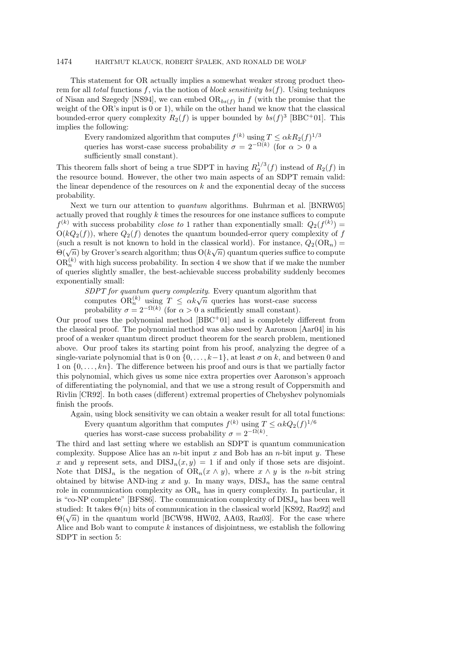# 1474 HARTMUT KLAUCK, ROBERT ŠPALEK, AND RONALD DE WOLF

This statement for OR actually implies a somewhat weaker strong product theorem for all total functions f, via the notion of block sensitivity bs(f). Using techniques of Nisan and Szegedy [NS94], we can embed  $OR_{bs(f)}$  in f (with the promise that the weight of the OR's input is 0 or 1), while on the other hand we know that the classical bounded-error query complexity  $R_2(f)$  is upper bounded by  $bs(f)^3$  [BBC<sup>+</sup>01]. This implies the following:

Every randomized algorithm that computes  $f^{(k)}$  using  $T \leq \alpha k R_2(f)^{1/3}$ queries has worst-case success probability  $\sigma = 2^{-\Omega(k)}$  (for  $\alpha > 0$  a sufficiently small constant).

This theorem falls short of being a true SDPT in having  $R_2^{1/3}(f)$  instead of  $R_2(f)$  in the resource bound. However, the other two main aspects of an SDPT remain valid: the linear dependence of the resources on  $k$  and the exponential decay of the success probability.

Next we turn our attention to quantum algorithms. Buhrman et al. [BNRW05] actually proved that roughly  $k$  times the resources for one instance suffices to compute  $f^{(k)}$  with success probability *close to* 1 rather than exponentially small:  $Q_2(f^{(k)}) =$  $O(kQ_2(f))$ , where  $Q_2(f)$  denotes the quantum bounded-error query complexity of f (such a result is not known to hold in the classical world). For instance,  $Q_2(OR_n) =$ (such a result is not known to note in the classical world). For instance,  $Q_2(\mathcal{O}\mathcal{R}_n) = \Theta(\sqrt{n})$  by Grover's search algorithm; thus  $O(k\sqrt{n})$  quantum queries suffice to compute  $OR_n^{(k)}$  with high success probability. In section 4 we show that if we make the number of queries slightly smaller, the best-achievable success probability suddenly becomes exponentially small:

SDPT for quantum query complexity. Every quantum algorithm that SDF 1 for quantum query complexity. Every quantum algorithm that computes  $OR_n^{(k)}$  using  $T \leq \alpha k \sqrt{n}$  queries has worst-case success probability  $\sigma = 2^{-\Omega(k)}$  (for  $\alpha > 0$  a sufficiently small constant).

Our proof uses the polynomial method [BBC<sup>+</sup>01] and is completely different from the classical proof. The polynomial method was also used by Aaronson [Aar04] in his proof of a weaker quantum direct product theorem for the search problem, mentioned above. Our proof takes its starting point from his proof, analyzing the degree of a single-variate polynomial that is 0 on  $\{0, \ldots, k-1\}$ , at least  $\sigma$  on k, and between 0 and 1 on  $\{0, \ldots, kn\}$ . The difference between his proof and ours is that we partially factor this polynomial, which gives us some nice extra properties over Aaronson's approach of differentiating the polynomial, and that we use a strong result of Coppersmith and Rivlin [CR92]. In both cases (different) extremal properties of Chebyshev polynomials finish the proofs.

Again, using block sensitivity we can obtain a weaker result for all total functions: Every quantum algorithm that computes  $f^{(k)}$  using  $T \leq \alpha k Q_2(f)^{1/6}$ queries has worst-case success probability  $\sigma = 2^{-\Omega(k)}$ .

The third and last setting where we establish an SDPT is quantum communication complexity. Suppose Alice has an n-bit input x and Bob has an n-bit input y. These x and y represent sets, and  $DISJ_n(x, y) = 1$  if and only if those sets are disjoint. Note that  $DISJ_n$  is the negation of  $OR_n(x \wedge y)$ , where  $x \wedge y$  is the n-bit string obtained by bitwise AND-ing x and y. In many ways,  $DISJ_n$  has the same central role in communication complexity as  $OR_n$  has in query complexity. In particular, it is "co-NP complete" [BFS86]. The communication complexity of  $DISJ_n$  has been well studied: It takes  $\Theta(n)$  bits of communication in the classical world [KS92, Raz92] and studied: it takes  $\Theta(n)$  bits of communication in the classical world [KS92, Kaz92] and  $\Theta(\sqrt{n})$  in the quantum world [BCW98, HW02, AA03, Raz03]. For the case where Alice and Bob want to compute  $k$  instances of disjointness, we establish the following SDPT in section 5: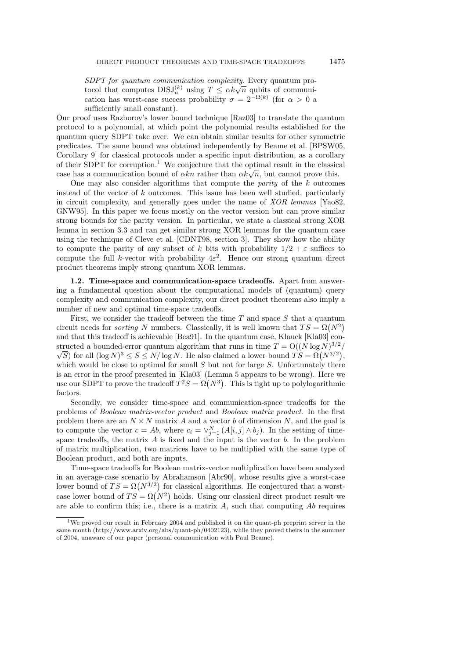SDPT for quantum communication complexity. Every quantum pro- $SDF1$  for quantum communication complexity. Every quantum pro-<br>tocol that computes  $DISJ_n^{(k)}$  using  $T \leq \alpha k \sqrt{n}$  qubits of communication has worst-case success probability  $\sigma = 2^{-\Omega(k)}$  (for  $\alpha > 0$  a sufficiently small constant).

Our proof uses Razborov's lower bound technique [Raz03] to translate the quantum protocol to a polynomial, at which point the polynomial results established for the quantum query SDPT take over. We can obtain similar results for other symmetric predicates. The same bound was obtained independently by Beame et al. [BPSW05, Corollary 9] for classical protocols under a specific input distribution, as a corollary of their SDPT for corruption.<sup>1</sup> We conjecture that the optimal result in the classical or their SDF I for corruption. We conjecture that the optimal result in the classic case has a communication bound of  $\alpha k n$  rather than  $\alpha k \sqrt{n}$ , but cannot prove this.

One may also consider algorithms that compute the *parity* of the  $k$  outcomes instead of the vector of  $k$  outcomes. This issue has been well studied, particularly in circuit complexity, and generally goes under the name of *XOR lemmas* [Yao82, GNW95]. In this paper we focus mostly on the vector version but can prove similar strong bounds for the parity version. In particular, we state a classical strong XOR lemma in section 3.3 and can get similar strong XOR lemmas for the quantum case using the technique of Cleve et al. [CDNT98, section 3]. They show how the ability to compute the parity of any subset of k bits with probability  $1/2 + \varepsilon$  suffices to compute the full k-vector with probability  $4\varepsilon^2$ . Hence our strong quantum direct product theorems imply strong quantum XOR lemmas.

1.2. Time-space and communication-space tradeoffs. Apart from answering a fundamental question about the computational models of (quantum) query complexity and communication complexity, our direct product theorems also imply a number of new and optimal time-space tradeoffs.

First, we consider the tradeoff between the time  $T$  and space  $S$  that a quantum circuit needs for *sorting* N numbers. Classically, it is well known that  $TS = \Omega(N^2)$ and that this tradeoff is achievable [Bea91]. In the quantum case, Klauck [Kla03] constructed a bounded-error quantum algorithm that runs in time  $T = O((N \log N)^{3/2})$ S for all  $(\log N)^3 \le S \le N/\log N$ . He also claimed a lower bound  $TS = \Omega(N^{3/2}),$ which would be close to optimal for small  $S$  but not for large  $S$ . Unfortunately there is an error in the proof presented in [Kla03] (Lemma 5 appears to be wrong). Here we use our SDPT to prove the tradeoff  $T^2S = \Omega(N^3)$ . This is tight up to polylogarithmic factors.

Secondly, we consider time-space and communication-space tradeoffs for the problems of Boolean matrix-vector product and Boolean matrix product. In the first problem there are an  $N \times N$  matrix A and a vector b of dimension N, and the goal is to compute the vector  $c = Ab$ , where  $c_i = \vee_{j=1}^{N} (A[i,j] \wedge b_j)$ . In the setting of timespace tradeoffs, the matrix  $A$  is fixed and the input is the vector  $b$ . In the problem of matrix multiplication, two matrices have to be multiplied with the same type of Boolean product, and both are inputs.

Time-space tradeoffs for Boolean matrix-vector multiplication have been analyzed in an average-case scenario by Abrahamson [Abr90], whose results give a worst-case lower bound of  $TS = \Omega(N^{3/2})$  for classical algorithms. He conjectured that a worstcase lower bound of  $TS = \Omega(N^2)$  holds. Using our classical direct product result we are able to confirm this; i.e., there is a matrix  $A$ , such that computing  $Ab$  requires

 $1$ We proved our result in February 2004 and published it on the quant-ph preprint server in the same month (http://www.arxiv.org/abs/quant-ph/0402123), while they proved theirs in the summer of 2004, unaware of our paper (personal communication with Paul Beame).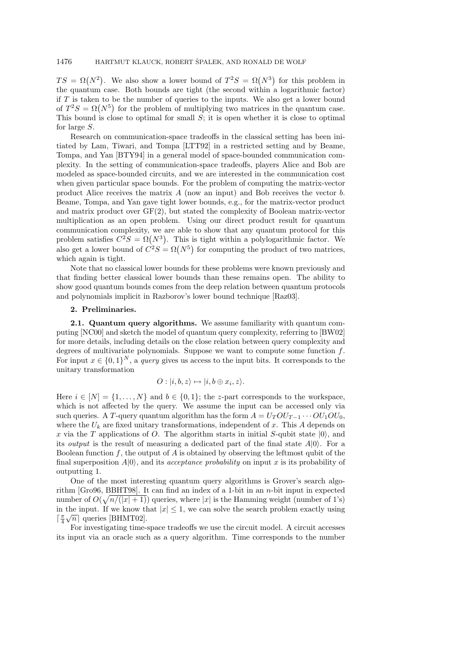$TS = \Omega(N^2)$ . We also show a lower bound of  $T^2S = \Omega(N^3)$  for this problem in the quantum case. Both bounds are tight (the second within a logarithmic factor) if  $T$  is taken to be the number of queries to the inputs. We also get a lower bound of  $T^2S = \Omega(N^5)$  for the problem of multiplying two matrices in the quantum case. This bound is close to optimal for small  $S$ ; it is open whether it is close to optimal for large S.

Research on communication-space tradeoffs in the classical setting has been initiated by Lam, Tiwari, and Tompa [LTT92] in a restricted setting and by Beame, Tompa, and Yan [BTY94] in a general model of space-bounded communication complexity. In the setting of communication-space tradeoffs, players Alice and Bob are modeled as space-bounded circuits, and we are interested in the communication cost when given particular space bounds. For the problem of computing the matrix-vector product Alice receives the matrix  $A$  (now an input) and Bob receives the vector  $b$ . Beame, Tompa, and Yan gave tight lower bounds, e.g., for the matrix-vector product and matrix product over GF(2), but stated the complexity of Boolean matrix-vector multiplication as an open problem. Using our direct product result for quantum communication complexity, we are able to show that any quantum protocol for this problem satisfies  $C^2S = \Omega(N^3)$ . This is tight within a polylogarithmic factor. We also get a lower bound of  $C^2S = \Omega(N^5)$  for computing the product of two matrices, which again is tight.

Note that no classical lower bounds for these problems were known previously and that finding better classical lower bounds than these remains open. The ability to show good quantum bounds comes from the deep relation between quantum protocols and polynomials implicit in Razborov's lower bound technique [Raz03].

# 2. Preliminaries.

2.1. Quantum query algorithms. We assume familiarity with quantum computing [NC00] and sketch the model of quantum query complexity, referring to [BW02] for more details, including details on the close relation between query complexity and degrees of multivariate polynomials. Suppose we want to compute some function  $f$ . For input  $x \in \{0,1\}^N$ , a *query* gives us access to the input bits. It corresponds to the unitary transformation

$$
O: |i, b, z\rangle \mapsto |i, b \oplus x_i, z\rangle.
$$

Here  $i \in [N] = \{1, \ldots, N\}$  and  $b \in \{0, 1\}$ ; the z-part corresponds to the workspace, which is not affected by the query. We assume the input can be accessed only via such queries. A T-query quantum algorithm has the form  $A = U_T O U_{T-1} \cdots O U_1 O U_0$ , where the  $U_k$  are fixed unitary transformations, independent of x. This A depends on x via the T applications of O. The algorithm starts in initial  $S$ -qubit state  $|0\rangle$ , and its *output* is the result of measuring a dedicated part of the final state  $A|0\rangle$ . For a Boolean function  $f$ , the output of  $A$  is obtained by observing the leftmost qubit of the final superposition  $A|0\rangle$ , and its *acceptance probability* on input x is its probability of outputting 1.

One of the most interesting quantum query algorithms is Grover's search algorithm [Gro96, BBHT98]. It can find an index of a 1-bit in an n-bit input in expected number of  $O(\sqrt{n/(|x|+1)})$  queries, where |x| is the Hamming weight (number of 1's) in the input. If we know that  $|x| \leq 1$ , we can solve the search problem exactly using  $\lceil \frac{\pi}{4} \sqrt{n} \rceil$  queries [BHMT02].

For investigating time-space tradeoffs we use the circuit model. A circuit accesses its input via an oracle such as a query algorithm. Time corresponds to the number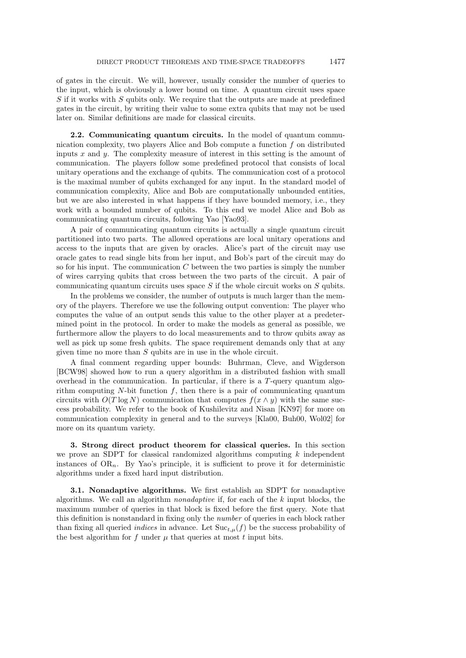of gates in the circuit. We will, however, usually consider the number of queries to the input, which is obviously a lower bound on time. A quantum circuit uses space S if it works with S qubits only. We require that the outputs are made at predefined gates in the circuit, by writing their value to some extra qubits that may not be used later on. Similar definitions are made for classical circuits.

2.2. Communicating quantum circuits. In the model of quantum communication complexity, two players Alice and Bob compute a function  $f$  on distributed inputs  $x$  and  $y$ . The complexity measure of interest in this setting is the amount of communication. The players follow some predefined protocol that consists of local unitary operations and the exchange of qubits. The communication cost of a protocol is the maximal number of qubits exchanged for any input. In the standard model of communication complexity, Alice and Bob are computationally unbounded entities, but we are also interested in what happens if they have bounded memory, i.e., they work with a bounded number of qubits. To this end we model Alice and Bob as communicating quantum circuits, following Yao [Yao93].

A pair of communicating quantum circuits is actually a single quantum circuit partitioned into two parts. The allowed operations are local unitary operations and access to the inputs that are given by oracles. Alice's part of the circuit may use oracle gates to read single bits from her input, and Bob's part of the circuit may do so for his input. The communication  $C$  between the two parties is simply the number of wires carrying qubits that cross between the two parts of the circuit. A pair of communicating quantum circuits uses space  $S$  if the whole circuit works on  $S$  qubits.

In the problems we consider, the number of outputs is much larger than the memory of the players. Therefore we use the following output convention: The player who computes the value of an output sends this value to the other player at a predetermined point in the protocol. In order to make the models as general as possible, we furthermore allow the players to do local measurements and to throw qubits away as well as pick up some fresh qubits. The space requirement demands only that at any given time no more than  $S$  qubits are in use in the whole circuit.

A final comment regarding upper bounds: Buhrman, Cleve, and Wigderson [BCW98] showed how to run a query algorithm in a distributed fashion with small overhead in the communication. In particular, if there is a  $T$ -query quantum algorithm computing  $N$ -bit function  $f$ , then there is a pair of communicating quantum circuits with  $O(T \log N)$  communication that computes  $f(x \wedge y)$  with the same success probability. We refer to the book of Kushilevitz and Nisan [KN97] for more on communication complexity in general and to the surveys [Kla00, Buh00, Wol02] for more on its quantum variety.

3. Strong direct product theorem for classical queries. In this section we prove an SDPT for classical randomized algorithms computing  $k$  independent instances of  $OR_n$ . By Yao's principle, it is sufficient to prove it for deterministic algorithms under a fixed hard input distribution.

3.1. Nonadaptive algorithms. We first establish an SDPT for nonadaptive algorithms. We call an algorithm nonadaptive if, for each of the k input blocks, the maximum number of queries in that block is fixed before the first query. Note that this definition is nonstandard in fixing only the number of queries in each block rather than fixing all queried *indices* in advance. Let  $\text{Suc}_{t,\mu}(f)$  be the success probability of the best algorithm for f under  $\mu$  that queries at most t input bits.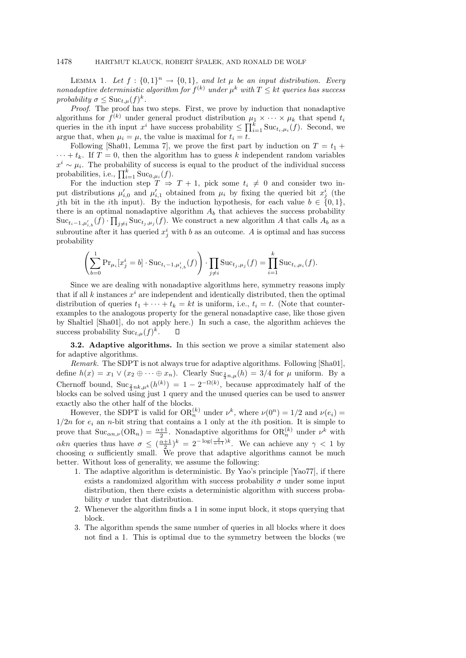LEMMA 1. Let  $f: \{0,1\}^n \rightarrow \{0,1\}$ , and let  $\mu$  be an input distribution. Every nonadaptive deterministic algorithm for  $f^{(k)}$  under  $\mu^k$  with  $T \leq kt$  queries has success probability  $\sigma \leq \text{Suc}_{t,\mu}(f)^k$ .

Proof. The proof has two steps. First, we prove by induction that nonadaptive algorithms for  $f^{(k)}$  under general product distribution  $\mu_1 \times \cdots \times \mu_k$  that spend  $t_i$ queries in the *i*th input  $x^i$  have success probability  $\leq \prod_{i=1}^k \text{Suc}_{t_i,\mu_i}(f)$ . Second, we argue that, when  $\mu_i = \mu$ , the value is maximal for  $t_i = t$ .

Following [Sha01, Lemma 7], we prove the first part by induction on  $T = t_1 +$  $\cdots + t_k$ . If  $T = 0$ , then the algorithm has to guess k independent random variables  $x^i \sim \mu_i$ . The probability of success is equal to the product of the individual success probabilities, i.e.,  $\prod_{i=1}^{k} \text{Suc}_{0,\mu_i}(f)$ .

For the induction step  $T \Rightarrow T + 1$ , pick some  $t_i \neq 0$  and consider two input distributions  $\mu'_{i,0}$  and  $\mu'_{i,1}$  obtained from  $\mu_i$  by fixing the queried bit  $x_j^i$  (the jth bit in the *i*th input). By the induction hypothesis, for each value  $b \in \{0,1\}$ , there is an optimal nonadaptive algorithm  $A_b$  that achieves the success probability  $\text{Suc}_{t_i-1,\mu'_{i,b}}(f) \cdot \prod_{j\neq i} \text{Suc}_{t_j,\mu_j}(f)$ . We construct a new algorithm A that calls  $A_b$  as a subroutine after it has queried  $x_j^i$  with b as an outcome. A is optimal and has success probability

$$
\left(\sum_{b=0}^{1} \Pr_{\mu_i}[x_j^i = b] \cdot \text{Suc}_{t_i-1, \mu'_{i,b}}(f)\right) \cdot \prod_{j \neq i} \text{Suc}_{t_j, \mu_j}(f) = \prod_{i=1}^{k} \text{Suc}_{t_i, \mu_i}(f).
$$

Since we are dealing with nonadaptive algorithms here, symmetry reasons imply that if all k instances  $x^i$  are independent and identically distributed, then the optimal distribution of queries  $t_1 + \cdots + t_k = kt$  is uniform, i.e.,  $t_i = t$ . (Note that counterexamples to the analogous property for the general nonadaptive case, like those given by Shaltiel [Sha01], do not apply here.) In such a case, the algorithm achieves the success probability  $\text{Suc}_{t,\mu}(f)^k$ . □

3.2. Adaptive algorithms. In this section we prove a similar statement also for adaptive algorithms.

Remark. The SDPT is not always true for adaptive algorithms. Following [Sha01], define  $h(x) = x_1 \vee (x_2 \oplus \cdots \oplus x_n)$ . Clearly  $\text{Suc}_{\frac{2}{3}n,\mu}(h) = 3/4$  for  $\mu$  uniform. By a Chernoff bound,  $\text{Suc}_{\frac{2}{3}nk,\mu^k}(h^{(k)}) = 1 - 2^{-\Omega(k)}$ , because approximately half of the blocks can be solved using just 1 query and the unused queries can be used to answer exactly also the other half of the blocks.

However, the SDPT is valid for  $OR_n^{(k)}$  under  $\nu^k$ , where  $\nu(0^n) = 1/2$  and  $\nu(e_i) =$  $1/2n$  for  $e_i$  an n-bit string that contains a 1 only at the *i*th position. It is simple to prove that  $\text{Suc}_{\alpha n,\nu}(\text{OR}_n) = \frac{\alpha+1}{2}$ . Nonadaptive algorithms for  $\text{OR}_n^{(k)}$  under  $\nu^k$  with  $\alpha k n$  queries thus have  $\sigma \leq (\frac{\alpha+1}{2})^k = 2^{-\log(\frac{2}{\alpha+1})k}$ . We can achieve any  $\gamma < 1$  by choosing  $\alpha$  sufficiently small. We prove that adaptive algorithms cannot be much better. Without loss of generality, we assume the following:

- 1. The adaptive algorithm is deterministic. By Yao's principle [Yao77], if there exists a randomized algorithm with success probability  $\sigma$  under some input distribution, then there exists a deterministic algorithm with success probability  $\sigma$  under that distribution.
- 2. Whenever the algorithm finds a 1 in some input block, it stops querying that block.
- 3. The algorithm spends the same number of queries in all blocks where it does not find a 1. This is optimal due to the symmetry between the blocks (we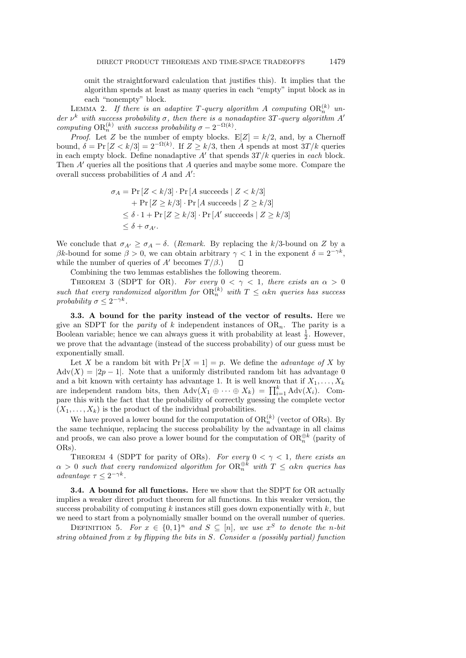omit the straightforward calculation that justifies this). It implies that the algorithm spends at least as many queries in each "empty" input block as in each "nonempty" block.

LEMMA 2. If there is an adaptive T-query algorithm A computing  $OR_n^{(k)}$  under  $\nu^k$  with success probability  $\sigma$ , then there is a nonadaptive 3T-query algorithm A' computing  $OR_n^{(k)}$  with success probability  $\sigma - 2^{-\Omega(k)}$ .

*Proof.* Let Z be the number of empty blocks.  $E[Z] = k/2$ , and, by a Chernoff bound,  $\delta = \Pr[Z < k/3] = 2^{-\Omega(k)}$ . If  $Z \geq k/3$ , then A spends at most  $3T/k$  queries in each empty block. Define nonadaptive  $A'$  that spends  $3T/k$  queries in each block. Then  $A'$  queries all the positions that  $A$  queries and maybe some more. Compare the overall success probabilities of  $A$  and  $A'$ :

$$
\sigma_A = \Pr\left[Z < k/3\right] \cdot \Pr\left[A \text{ succeeds} \mid Z < k/3\right] \\
+ \Pr\left[Z \ge k/3\right] \cdot \Pr\left[A \text{ succeeds} \mid Z \ge k/3\right] \\
\le \delta \cdot 1 + \Pr\left[Z \ge k/3\right] \cdot \Pr\left[A' \text{ succeeds} \mid Z \ge k/3\right] \\
\le \delta + \sigma_{A'}.
$$

We conclude that  $\sigma_{A'} \geq \sigma_A - \delta$ . (Remark. By replacing the k/3-bound on Z by a βk-bound for some  $\beta > 0$ , we can obtain arbitrary  $\gamma < 1$  in the exponent  $\delta = 2^{-\gamma k}$ , while the number of queries of A' becomes  $T / \beta$ .)

Combining the two lemmas establishes the following theorem.

THEOREM 3 (SDPT for OR). For every  $0 < \gamma < 1$ , there exists an  $\alpha > 0$ such that every randomized algorithm for  $OR_n^{(k)}$  with  $T \leq \alpha kn$  queries has success probability  $\sigma \leq 2^{-\gamma k}$ .

3.3. A bound for the parity instead of the vector of results. Here we give an SDPT for the *parity* of k independent instances of  $OR_n$ . The parity is a Boolean variable; hence we can always guess it with probability at least  $\frac{1}{2}$ . However, we prove that the advantage (instead of the success probability) of our guess must be exponentially small.

Let X be a random bit with  $Pr[X = 1] = p$ . We define the *advantage of* X by  $\text{Adv}(X) = |2p - 1|$ . Note that a uniformly distributed random bit has advantage 0 and a bit known with certainty has advantage 1. It is well known that if  $X_1, \ldots, X_k$ are independent random bits, then  $\text{Adv}(X_1 \oplus \cdots \oplus X_k) = \prod_{i=1}^k \text{Adv}(X_i)$ . Compare this with the fact that the probability of correctly guessing the complete vector  $(X_1, \ldots, X_k)$  is the product of the individual probabilities.

We have proved a lower bound for the computation of  $OR_n^{(k)}$  (vector of ORs). By the same technique, replacing the success probability by the advantage in all claims and proofs, we can also prove a lower bound for the computation of  $OR_n^{\oplus k}$  (parity of ORs).

THEOREM 4 (SDPT for parity of ORs). For every  $0 < \gamma < 1$ , there exists an  $\alpha > 0$  such that every randomized algorithm for  $\text{OR}_n^{\oplus k}$  with  $T \leq \alpha k n$  queries has advantage  $\tau \leq 2^{-\gamma k}$ .

**3.4.** A bound for all functions. Here we show that the SDPT for OR actually implies a weaker direct product theorem for all functions. In this weaker version, the success probability of computing  $k$  instances still goes down exponentially with  $k$ , but we need to start from a polynomially smaller bound on the overall number of queries.

DEFINITION 5. For  $x \in \{0,1\}^n$  and  $S \subseteq [n]$ , we use  $x^S$  to denote the n-bit string obtained from x by flipping the bits in S. Consider a (possibly partial) function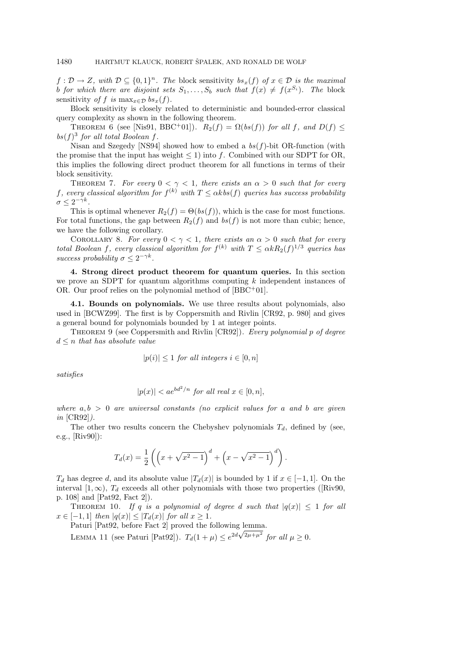$f: \mathcal{D} \to Z$ , with  $\mathcal{D} \subseteq \{0,1\}^n$ . The block sensitivity  $bs_x(f)$  of  $x \in \mathcal{D}$  is the maximal b for which there are disjoint sets  $S_1, \ldots, S_b$  such that  $f(x) \neq f(x^{S_i})$ . The block sensitivity of f is  $\max_{x \in \mathcal{D}} bs_x(f)$ .

Block sensitivity is closely related to deterministic and bounded-error classical query complexity as shown in the following theorem.

THEOREM 6 (see [Nis91, BBC<sup>+</sup>01]).  $R_2(f) = \Omega(bs(f))$  for all f, and  $D(f) \leq$ bs $(f)^3$  for all total Boolean f.

Nisan and Szegedy [NS94] showed how to embed a  $bs(f)$ -bit OR-function (with the promise that the input has weight  $\leq 1$ ) into f. Combined with our SDPT for OR, this implies the following direct product theorem for all functions in terms of their block sensitivity.

THEOREM 7. For every  $0 < \gamma < 1$ , there exists an  $\alpha > 0$  such that for every f, every classical algorithm for  $f^{(k)}$  with  $T \leq \alpha kbs(f)$  queries has success probability  $\sigma \leq 2^{-\gamma k}$ .

This is optimal whenever  $R_2(f) = \Theta(bs(f))$ , which is the case for most functions. For total functions, the gap between  $R_2(f)$  and  $bs(f)$  is not more than cubic; hence, we have the following corollary.

COROLLARY 8. For every  $0 < \gamma < 1$ , there exists an  $\alpha > 0$  such that for every total Boolean f, every classical algorithm for  $f^{(k)}$  with  $T \leq \alpha k R_2(f)^{1/3}$  queries has success probability  $\sigma \leq 2^{-\gamma k}$ .

4. Strong direct product theorem for quantum queries. In this section we prove an SDPT for quantum algorithms computing  $k$  independent instances of OR. Our proof relies on the polynomial method of [BBC<sup>+</sup>01].

4.1. Bounds on polynomials. We use three results about polynomials, also used in [BCWZ99]. The first is by Coppersmith and Rivlin [CR92, p. 980] and gives a general bound for polynomials bounded by 1 at integer points.

THEOREM 9 (see Coppersmith and Rivlin  $[CR92]$ ). Every polynomial p of degree  $d \leq n$  that has absolute value

 $|p(i)| \leq 1$  for all integers  $i \in [0, n]$ 

satisfies

$$
|p(x)| < a e^{bd^2/n} \text{ for all real } x \in [0, n],
$$

where  $a, b > 0$  are universal constants (no explicit values for a and b are given in [CR92]).

The other two results concern the Chebyshev polynomials  $T<sub>d</sub>$ , defined by (see, e.g., [Riv90]):

$$
T_d(x) = \frac{1}{2} \left( \left( x + \sqrt{x^2 - 1} \right)^d + \left( x - \sqrt{x^2 - 1} \right)^d \right).
$$

 $T_d$  has degree d, and its absolute value  $|T_d(x)|$  is bounded by 1 if  $x \in [-1,1]$ . On the interval [1, ∞),  $T_d$  exceeds all other polynomials with those two properties ([Riv90, p. 108] and [Pat92, Fact 2]).

THEOREM 10. If q is a polynomial of degree d such that  $|q(x)| \leq 1$  for all  $x \in [-1,1]$  then  $|q(x)| \leq |T_d(x)|$  for all  $x \geq 1$ .

Paturi [Pat92, before Fact 2] proved the following lemma.

LEMMA 11 (see Paturi [Pat92]).  $T_d(1+\mu) \leq e^{2d\sqrt{2\mu+\mu^2}}$  for all  $\mu \geq 0$ .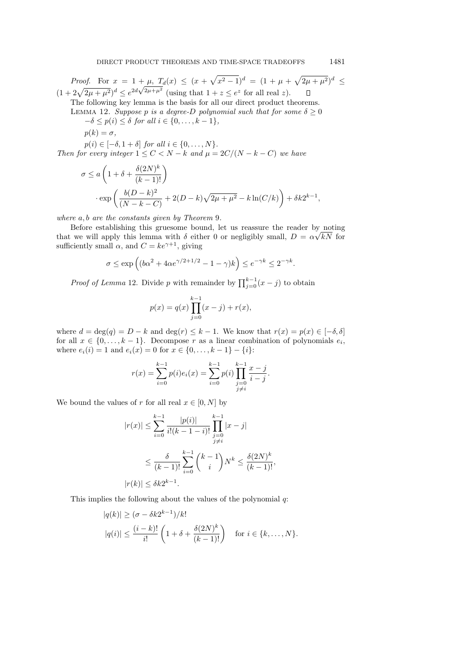*Proof.* For  $x = 1 + \mu$ ,  $T_d(x) \le (x + \sqrt{x^2 - 1})^d = (1 + \mu + \sqrt{2\mu + \mu^2})^d \le$ *Proof.* For  $x = 1 + \mu$ ,  $I_d(x) \le (x + \sqrt{x^2 - 1}) = (1 + \mu +$ <br>  $(1 + 2\sqrt{2\mu + \mu^2})^d \le e^{2d\sqrt{2\mu + \mu^2}}$  (using that  $1 + z \le e^z$  for all real z).

The following key lemma is the basis for all our direct product theorems. LEMMA 12. Suppose p is a degree-D polynomial such that for some  $\delta \geq 0$ 

 $-\delta \leq p(i) \leq \delta$  for all  $i \in \{0, \ldots, k-1\},$ 

$$
p(k)=\sigma,
$$

 $p(i) \in [-\delta, 1+\delta]$  for all  $i \in \{0, ..., N\}$ .

Then for every integer  $1 \leq C < N - k$  and  $\mu = 2C/(N - k - C)$  we have

$$
\sigma \le a \left( 1 + \delta + \frac{\delta (2N)^k}{(k-1)!} \right)
$$

$$
\cdot \exp \left( \frac{b(D-k)^2}{(N-k-C)} + 2(D-k)\sqrt{2\mu + \mu^2} - k\ln(C/k) \right) + \delta k 2^{k-1}
$$

where  $a, b$  are the constants given by Theorem 9.

Before establishing this gruesome bound, let us reassure the reader by noting that we will apply this lemma with  $\delta$  either 0 or negligibly small,  $D = \alpha \sqrt{k}N$  for sufficiently small  $\alpha$ , and  $C = ke^{\gamma+1}$ , giving

$$
\sigma \le \exp\left( (b\alpha^2 + 4\alpha e^{\gamma/2 + 1/2} - 1 - \gamma)k \right) \le e^{-\gamma k} \le 2^{-\gamma k}.
$$

*Proof of Lemma* 12. Divide p with remainder by  $\prod_{j=0}^{k-1} (x - j)$  to obtain

$$
p(x) = q(x) \prod_{j=0}^{k-1} (x - j) + r(x),
$$

where  $d = \deg(q) = D - k$  and  $\deg(r) \leq k - 1$ . We know that  $r(x) = p(x) \in [-\delta, \delta]$ for all  $x \in \{0, \ldots, k-1\}$ . Decompose r as a linear combination of polynomials  $e_i$ , where  $e_i(i) = 1$  and  $e_i(x) = 0$  for  $x \in \{0, ..., k-1\} - \{i\}$ :

$$
r(x) = \sum_{i=0}^{k-1} p(i)e_i(x) = \sum_{i=0}^{k-1} p(i) \prod_{\substack{j=0 \ j \neq i}}^{k-1} \frac{x-j}{i-j}.
$$

We bound the values of r for all real  $x \in [0, N]$  by

$$
|r(x)| \le \sum_{i=0}^{k-1} \frac{|p(i)|}{i!(k-1-i)!} \prod_{\substack{j=0 \ j \neq i}}^{k-1} |x-j|
$$
  

$$
\le \frac{\delta}{(k-1)!} \sum_{i=0}^{k-1} {k-1 \choose i} N^k \le \frac{\delta(2N)^k}{(k-1)!},
$$
  

$$
|r(k)| \le \delta k 2^{k-1}.
$$

This implies the following about the values of the polynomial q:

$$
|q(k)| \geq (\sigma - \delta k 2^{k-1})/k!
$$
  

$$
|q(i)| \leq \frac{(i-k)!}{i!} \left(1 + \delta + \frac{\delta (2N)^k}{(k-1)!}\right) \text{ for } i \in \{k, ..., N\}.
$$

,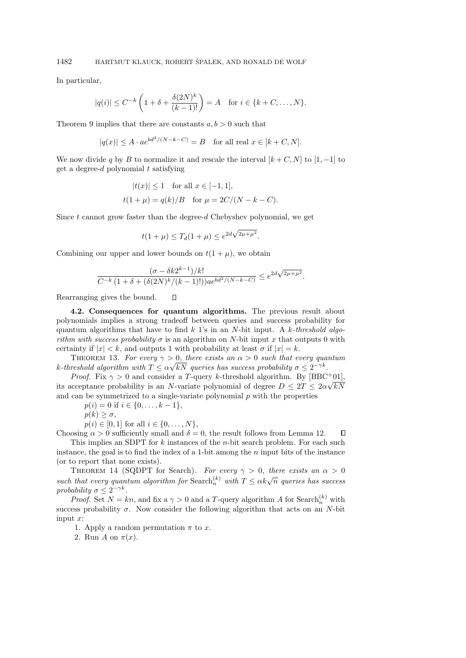In particular,

$$
|q(i)| \le C^{-k} \left( 1 + \delta + \frac{\delta(2N)^k}{(k-1)!} \right) = A
$$
 for  $i \in \{k + C, ..., N\}.$ 

Theorem 9 implies that there are constants  $a, b > 0$  such that

$$
|q(x)| \le A \cdot ae^{bd^2/(N-k-C)} = B \quad \text{for all real } x \in [k+C, N].
$$

We now divide q by B to normalize it and rescale the interval  $[k + C, N]$  to  $[1, -1]$  to get a degree-d polynomial  $t$  satisfying

$$
|t(x)| \le 1
$$
 for all  $x \in [-1, 1]$ ,  
 $t(1 + \mu) = q(k)/B$  for  $\mu = 2C/(N - k - C)$ .

Since  $t$  cannot grow faster than the degree- $d$  Chebyshev polynomial, we get

$$
t(1 + \mu) \le T_d(1 + \mu) \le e^{2d\sqrt{2\mu + \mu^2}}.
$$

Combining our upper and lower bounds on  $t(1 + \mu)$ , we obtain

 $\Box$ 

$$
\frac{(\sigma - \delta k 2^{k-1})/k!}{C^{-k} (1 + \delta + (\delta (2N)^k / (k-1)!)) a e^{bd^2 / (N-k-C)}} \le e^{2d\sqrt{2\mu + \mu^2}}.
$$

Rearranging gives the bound.

4.2. Consequences for quantum algorithms. The previous result about polynomials implies a strong tradeoff between queries and success probability for quantum algorithms that have to find k 1's in an N-bit input. A k-threshold algorithm with success probability  $\sigma$  is an algorithm on N-bit input x that outputs 0 with certainty if  $|x| < k$ , and outputs 1 with probability at least  $\sigma$  if  $|x| = k$ .

THEOREM 13. For every  $\gamma > 0$ , there exists an  $\alpha > 0$  such that every quantum k-threshold algorithm with  $T \le \alpha \sqrt{kN}$  queries has success probability  $\sigma \le 2^{-\gamma k}$ .

*Proof.* Fix  $\gamma > 0$  and consider a T-query k-threshold algorithm. By [BBC<sup>+</sup>01], its acceptance probability is an N-variate polynomial of degree  $D \leq 2T \leq 2\alpha \sqrt{k}N$ and can be symmetrized to a single-variate polynomial  $p$  with the properties

 $p(i) = 0$  if  $i \in \{0, \ldots, k-1\},\$ 

 $p(k) \geq \sigma$ ,

 $p(i) \in [0,1]$  for all  $i \in \{0, \ldots, N\},$ 

Choosing  $\alpha > 0$  sufficiently small and  $\delta = 0$ , the result follows from Lemma 12.  $\Box$ This implies an SDPT for  $k$  instances of the *n*-bit search problem. For each such instance, the goal is to find the index of a 1-bit among the  $n$  input bits of the instance (or to report that none exists).

THEOREM 14 (SQDPT for Search). For every  $\gamma > 0$ , there exists an  $\alpha > 0$ such that every quantum algorithm for Search<sup>(k)</sup> with  $T \leq \alpha k \sqrt{n}$  queries has success probability  $\sigma \leq 2^{-\gamma k}$ .

*Proof.* Set  $N = kn$ , and fix a  $\gamma > 0$  and a T-query algorithm A for Search<sup>(k)</sup> with success probability  $\sigma$ . Now consider the following algorithm that acts on an N-bit input  $x$ :

1. Apply a random permutation  $\pi$  to x.

2. Run A on  $\pi(x)$ .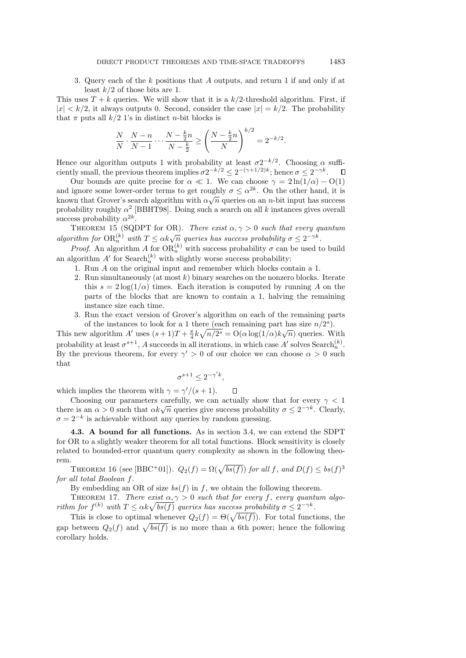3. Query each of the k positions that A outputs, and return 1 if and only if at least  $k/2$  of those bits are 1.

This uses  $T + k$  queries. We will show that it is a  $k/2$ -threshold algorithm. First, if  $|x| < k/2$ , it always outputs 0. Second, consider the case  $|x| = k/2$ . The probability that  $\pi$  puts all  $k/2$  1's in distinct *n*-bit blocks is

$$
\frac{N}{N} \cdot \frac{N-n}{N-1} \cdot \cdot \cdot \frac{N-\frac{k}{2}n}{N-\frac{k}{2}} \ge \left(\frac{N-\frac{k}{2}n}{N}\right)^{k/2} = 2^{-k/2}.
$$

Hence our algorithm outputs 1 with probability at least  $\sigma 2^{-k/2}$ . Choosing  $\alpha$  sufficiently small, the previous theorem implies  $\sigma 2^{-k/2} \leq 2^{-(\gamma+1/2)k}$ ; hence  $\sigma \leq 2^{-\gamma k}$ .

Our bounds are quite precise for  $\alpha \ll 1$ . We can choose  $\gamma = 2 \ln(1/\alpha) - O(1)$ and ignore some lower-order terms to get roughly  $\sigma \leq \alpha^{2k}$ . On the other hand, it is known that Grover's search algorithm with  $\alpha\sqrt{n}$  queries on an n-bit input has success probability roughly  $\alpha^2$  [BBHT98]. Doing such a search on all k instances gives overall success probability  $\alpha^{2k}$ .

THEOREM 15 (SQDPT for OR). There exist  $\alpha, \gamma > 0$  such that every quantum algorithm for  $OR_{n}^{(k)}$  with  $T \leq \alpha k \sqrt{n}$  queries has success probability  $\sigma \leq 2^{-\gamma k}$ .

*Proof.* An algorithm A for  $OR_n^{(k)}$  with success probability  $\sigma$  can be used to build an algorithm  $A'$  for Search<sup>(k)</sup> with slightly worse success probability:

- 1. Run A on the original input and remember which blocks contain a 1.
- 2. Run simultaneously (at most  $k$ ) binary searches on the nonzero blocks. Iterate this  $s = 2 \log(1/\alpha)$  times. Each iteration is computed by running A on the parts of the blocks that are known to contain a 1, halving the remaining instance size each time.
- 3. Run the exact version of Grover's algorithm on each of the remaining parts of the instances to look for a 1 there (each remaining part has size  $n/2^s$ ).

This new algorithm A' uses  $(s+1)T + \frac{\pi}{4}k\sqrt{n/2^s} = O(\alpha \log(1/\alpha)k\sqrt{n})$  queries. With probability at least  $\sigma^{s+1}$ , A succeeds in all iterations, in which case A' solves Search<sub>n</sub><sup>(k)</sup>. By the previous theorem, for every  $\gamma' > 0$  of our choice we can choose  $\alpha > 0$  such that

$$
\sigma^{s+1} \le 2^{-\gamma' k},
$$

which implies the theorem with  $\gamma = \gamma'/(s+1)$ .  $\Box$ 

Choosing our parameters carefully, we can actually show that for every  $\gamma < 1$ Choosing our parameters carefully, we can actually show that for every  $\gamma < 1$  there is an  $\alpha > 0$  such that  $\alpha k \sqrt{n}$  queries give success probability  $\sigma \leq 2^{-\gamma k}$ . Clearly,  $\sigma = 2^{-k}$  is achievable without any queries by random guessing.

4.3. A bound for all functions. As in section 3.4, we can extend the SDPT for OR to a slightly weaker theorem for all total functions. Block sensitivity is closely related to bounded-error quantum query complexity as shown in the following theorem.

THEOREM 16 (see [BBC<sup>+</sup>01]).  $Q_2(f) = \Omega(\sqrt{bs(f)})$  for all f, and  $D(f) \le bs(f)^3$ for all total Boolean f.

By embedding an OR of size  $bs(f)$  in f, we obtain the following theorem.

THEOREM 17. There exist  $\alpha, \gamma > 0$  such that for every f, every quantum algorithm for  $f^{(k)}$  with  $T \leq \alpha k \sqrt{bs(f)}$  queries has success probability  $\sigma \leq 2^{-\gamma k}$ .

This is close to optimal whenever  $Q_2(f) = \Theta(\sqrt{bs(f)})$ . For total functions, the gap between  $Q_2(f)$  and  $\sqrt{bs(f)}$  is no more than a 6th power; hence the following corollary holds.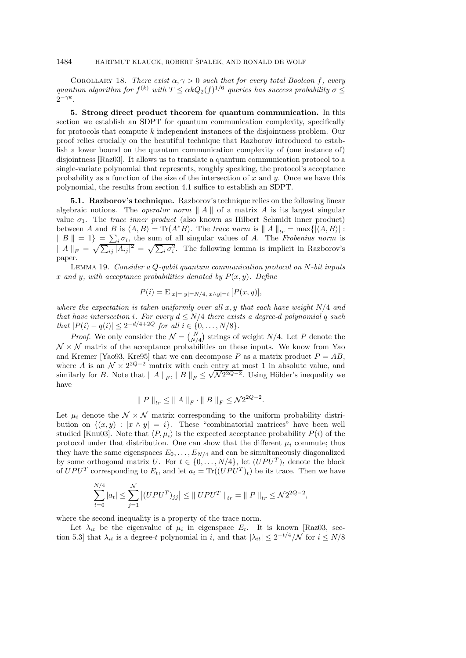COROLLARY 18. There exist  $\alpha, \gamma > 0$  such that for every total Boolean f, every quantum algorithm for  $f^{(k)}$  with  $T \leq \alpha k Q_2(f)^{1/6}$  queries has success probability  $\sigma \leq$  $2^{-\gamma k}$ .

5. Strong direct product theorem for quantum communication. In this section we establish an SDPT for quantum communication complexity, specifically for protocols that compute k independent instances of the disjointness problem. Our proof relies crucially on the beautiful technique that Razborov introduced to establish a lower bound on the quantum communication complexity of (one instance of) disjointness [Raz03]. It allows us to translate a quantum communication protocol to a single-variate polynomial that represents, roughly speaking, the protocol's acceptance probability as a function of the size of the intersection of x and  $y$ . Once we have this polynomial, the results from section 4.1 suffice to establish an SDPT.

5.1. Razborov's technique. Razborov's technique relies on the following linear algebraic notions. The *operator norm*  $||A||$  of a matrix A is its largest singular value  $\sigma_1$ . The *trace inner product* (also known as Hilbert–Schmidt inner product) between A and B is  $\langle A, B \rangle = \text{Tr}(A^*B)$ . The trace norm is  $||A||_{tr} = \max\{|\langle A, B \rangle| :$  $\|B\| = 1$  =  $\sum_i \sigma_i$ , the sum of all singular values of A. The Frobenius norm is  $||A||_F = \sqrt{\sum_{ij} |A_{ij}|^2} = \sqrt{\sum_i \sigma_i^2}$ . The following lemma is implicit in Razborov's paper.

LEMMA 19. Consider a Q-qubit quantum communication protocol on  $N$ -bit inputs x and y, with acceptance probabilities denoted by  $P(x, y)$ . Define

$$
P(i) = \mathcal{E}_{|x|=|y|=N/4, |x \wedge y|=i]}[P(x, y)],
$$

where the expectation is taken uniformly over all x, y that each have weight  $N/4$  and that have intersection i. For every  $d \le N/4$  there exists a degree-d polynomial q such  $that$  |P(i) − q(i)| ≤ 2<sup>-d/4+2Q</sup> for all i ∈ {0, ..., N/8}.

*Proof.* We only consider the  $\mathcal{N} = \begin{pmatrix} N \\ N/4 \end{pmatrix}$  strings of weight  $N/4$ . Let P denote the  $\mathcal{N} \times \mathcal{N}$  matrix of the acceptance probabilities on these inputs. We know from Yao and Kremer [Yao93, Kre95] that we can decompose P as a matrix product  $P = AB$ , where A is an  $\mathcal{N} \times 2^{2Q-2}$  matrix with each entry at most 1 in absolute value, and similarly for B. Note that  $|| A ||_F$ ,  $|| B ||_F \le$ √  $\mathcal{N}2^{2Q-2}$ . Using Hölder's inequality we have

$$
\| P \|_{tr} \leq \| A \|_F \cdot \| B \|_F \leq \mathcal{N} 2^{2Q-2}.
$$

Let  $\mu_i$  denote the  $\mathcal{N} \times \mathcal{N}$  matrix corresponding to the uniform probability distribution on  $\{(x, y) : |x \wedge y| = i\}$ . These "combinatorial matrices" have been well studied [Knu03]. Note that  $\langle P, \mu_i \rangle$  is the expected acceptance probability  $P(i)$  of the protocol under that distribution. One can show that the different  $\mu_i$  commute; thus they have the same eigenspaces  $E_0, \ldots, E_{N/4}$  and can be simultaneously diagonalized by some orthogonal matrix U. For  $t \in \{0, \ldots, N/4\}$ , let  $(UPU^T)_t$  denote the block of  $UPU^T$  corresponding to  $E_t$ , and let  $a_t = \text{Tr}((UPU^T)_t)$  be its trace. Then we have

$$
\sum_{t=0}^{N/4} |a_t| \le \sum_{j=1}^{N} |(UPU^T)_{jj}| \le ||UPU^T||_{tr} = ||P||_{tr} \le \mathcal{N}2^{2Q-2},
$$

where the second inequality is a property of the trace norm.

Let  $\lambda_{it}$  be the eigenvalue of  $\mu_i$  in eigenspace  $E_t$ . It is known [Raz03, section 5.3] that  $\lambda_{it}$  is a degree-t polynomial in i, and that  $|\lambda_{it}| \leq 2^{-t/4}/\mathcal{N}$  for  $i \leq N/8$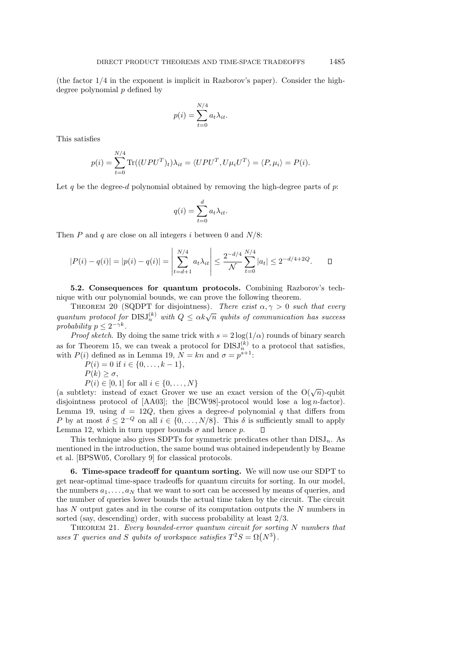(the factor 1/4 in the exponent is implicit in Razborov's paper). Consider the highdegree polynomial  $p$  defined by

$$
p(i) = \sum_{t=0}^{N/4} a_t \lambda_{it}.
$$

This satisfies

$$
p(i) = \sum_{t=0}^{N/4} \text{Tr}((UPU^{T})_{t})\lambda_{it} = \langle UPU^{T}, U\mu_{i}U^{T}\rangle = \langle P, \mu_{i}\rangle = P(i).
$$

Let q be the degree-d polynomial obtained by removing the high-degree parts of p:

$$
q(i) = \sum_{t=0}^{d} a_t \lambda_{it}.
$$

Then P and q are close on all integers i between 0 and  $N/8$ :

$$
|P(i) - q(i)| = |p(i) - q(i)| = \left| \sum_{t=d+1}^{N/4} a_t \lambda_{it} \right| \le \frac{2^{-d/4}}{\mathcal{N}} \sum_{t=0}^{N/4} |a_t| \le 2^{-d/4 + 2Q}.
$$

5.2. Consequences for quantum protocols. Combining Razborov's technique with our polynomial bounds, we can prove the following theorem.

THEOREM 20 (SQDPT for disjointness). There exist  $\alpha, \gamma > 0$  such that every quantum protocol for  $DISJ_h^{(k)}$  with  $Q \le \alpha k \sqrt{n}$  qubits of communication has success probability  $p \leq 2^{-\gamma k}$ .

*Proof sketch.* By doing the same trick with  $s = 2 \log(1/\alpha)$  rounds of binary search as for Theorem 15, we can tweak a protocol for  $DISJ_n^{(k)}$  to a protocol that satisfies, with  $P(i)$  defined as in Lemma 19,  $N = kn$  and  $\sigma = p^{s+1}$ :

 $P(i) = 0$  if  $i \in \{0, \ldots, k-1\},\$ 

$$
P(k) \ge \sigma,
$$

 $P(i) \in [0, 1]$  for all  $i \in \{0, ..., N\}$ 

(a subtlety: instead of exact Grover we use an exact version of the O( $\sqrt{n}$ )-qubit disjointness protocol of [AA03]; the [BCW98]-protocol would lose a log n-factor). Lemma 19, using  $d = 12Q$ , then gives a degree-d polynomial q that differs from P by at most  $\delta \leq 2^{-Q}$  on all  $i \in \{0, ..., N/8\}$ . This  $\delta$  is sufficiently small to apply Lemma 12, which in turn upper bounds  $\sigma$  and hence p.  $\Box$ 

This technique also gives SDPTs for symmetric predicates other than  $DISJ_n$ . As mentioned in the introduction, the same bound was obtained independently by Beame et al. [BPSW05, Corollary 9] for classical protocols.

6. Time-space tradeoff for quantum sorting. We will now use our SDPT to get near-optimal time-space tradeoffs for quantum circuits for sorting. In our model, the numbers  $a_1, \ldots, a_N$  that we want to sort can be accessed by means of queries, and the number of queries lower bounds the actual time taken by the circuit. The circuit has N output gates and in the course of its computation outputs the N numbers in sorted (say, descending) order, with success probability at least  $2/3$ .

THEOREM 21. Every bounded-error quantum circuit for sorting  $N$  numbers that uses T queries and S qubits of workspace satisfies  $T^2S = \Omega(N^3)$ .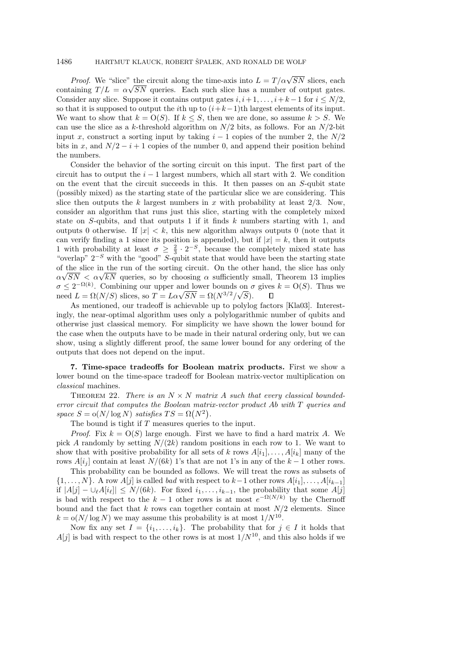## 1486 HARTMUT KLAUCK, ROBERT ŠPALEK, AND RONALD DE WOLF

*Proof.* We "slice" the circuit along the time-axis into  $L = T/\alpha\sqrt{SN}$  slices, each containing  $T/L = \alpha \sqrt{SN}$  queries. Each such slice has a number of output gates. Consider any slice. Suppose it contains output gates  $i, i+1, \ldots, i+k-1$  for  $i \leq N/2$ , so that it is supposed to output the *i*th up to  $(i+k-1)$ th largest elements of its input. We want to show that  $k = O(S)$ . If  $k \leq S$ , then we are done, so assume  $k > S$ . We can use the slice as a k-threshold algorithm on  $N/2$  bits, as follows. For an  $N/2$ -bit input x, construct a sorting input by taking  $i - 1$  copies of the number 2, the  $N/2$ bits in x, and  $N/2 - i + 1$  copies of the number 0, and append their position behind the numbers.

Consider the behavior of the sorting circuit on this input. The first part of the circuit has to output the  $i - 1$  largest numbers, which all start with 2. We condition on the event that the circuit succeeds in this. It then passes on an S-qubit state (possibly mixed) as the starting state of the particular slice we are considering. This slice then outputs the k largest numbers in x with probability at least  $2/3$ . Now, consider an algorithm that runs just this slice, starting with the completely mixed state on  $S$ -qubits, and that outputs 1 if it finds k numbers starting with 1, and outputs 0 otherwise. If  $|x| < k$ , this new algorithm always outputs 0 (note that it can verify finding a 1 since its position is appended), but if  $|x| = k$ , then it outputs 1 with probability at least  $\sigma \geq \frac{2}{3} \cdot 2^{-S}$ , because the completely mixed state has "overlap"  $2^{-S}$  with the "good" S-qubit state that would have been the starting state of the slice in the run of the sorting circuit. On the other hand, the slice has only or the suce in the run or the sorting circuit. On the other hand, the suce has only  $\alpha\sqrt{SN} < \alpha\sqrt{kN}$  queries, so by choosing  $\alpha$  sufficiently small, Theorem 13 implies  $\sigma \leq 2^{-\Omega(k)}$ . Combining our upper and lower bounds on  $\sigma$  gives  $k = O(S)$ . Thus we  $\sigma \leq 2$  "("). Combining our upper and lower bounds on  $\sigma$  need  $L = \Omega(N/S)$  slices, so  $T = L\alpha\sqrt{SN} = \Omega(N^{3/2}/\sqrt{S})$ .  $\Box$ 

As mentioned, our tradeoff is achievable up to polylog factors [Kla03]. Interestingly, the near-optimal algorithm uses only a polylogarithmic number of qubits and otherwise just classical memory. For simplicity we have shown the lower bound for the case when the outputs have to be made in their natural ordering only, but we can show, using a slightly different proof, the same lower bound for any ordering of the outputs that does not depend on the input.

7. Time-space tradeoffs for Boolean matrix products. First we show a lower bound on the time-space tradeoff for Boolean matrix-vector multiplication on classical machines.

THEOREM 22. There is an  $N \times N$  matrix A such that every classical boundederror circuit that computes the Boolean matrix-vector product Ab with T queries and space  $S = o(N/\log N)$  satisfies  $TS = \Omega(N^2)$ .

The bound is tight if  $T$  measures queries to the input.

*Proof.* Fix  $k = O(S)$  large enough. First we have to find a hard matrix A. We pick A randomly by setting  $N/(2k)$  random positions in each row to 1. We want to show that with positive probability for all sets of k rows  $A[i_1], \ldots, A[i_k]$  many of the rows  $A[i_j]$  contain at least  $N/(6k)$  1's that are not 1's in any of the  $k-1$  other rows.

This probability can be bounded as follows. We will treat the rows as subsets of  $\{1, \ldots, N\}$ . A row  $A[j]$  is called *bad* with respect to  $k-1$  other rows  $A[i_1], \ldots, A[i_{k-1}]$ if  $|A[j] - \bigcup_{\ell} A[i_{\ell}]| \leq N/(6k)$ . For fixed  $i_1, \ldots, i_{k-1}$ , the probability that some  $A[j]$ is bad with respect to the  $k-1$  other rows is at most  $e^{-\Omega(N/k)}$  by the Chernoff bound and the fact that k rows can together contain at most  $N/2$  elements. Since  $k = o(N/\log N)$  we may assume this probability is at most  $1/N^{10}$ .

Now fix any set  $I = \{i_1, \ldots, i_k\}$ . The probability that for  $j \in I$  it holds that  $A[j]$  is bad with respect to the other rows is at most  $1/N^{10}$ , and this also holds if we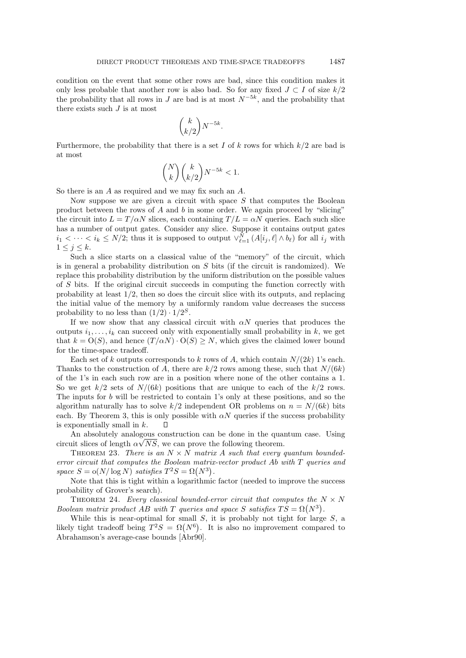condition on the event that some other rows are bad, since this condition makes it only less probable that another row is also bad. So for any fixed  $J \subset I$  of size  $k/2$ the probability that all rows in J are bad is at most  $N^{-5k}$ , and the probability that there exists such  $J$  is at most

$$
\binom{k}{k/2} N^{-5k}.
$$

Furthermore, the probability that there is a set I of k rows for which  $k/2$  are bad is at most

$$
\binom{N}{k}\binom{k}{k/2}N^{-5k} < 1.
$$

So there is an A as required and we may fix such an A.

Now suppose we are given a circuit with space  $S$  that computes the Boolean product between the rows of  $A$  and  $b$  in some order. We again proceed by "slicing" the circuit into  $L = T/\alpha N$  slices, each containing  $T/L = \alpha N$  queries. Each such slice has a number of output gates. Consider any slice. Suppose it contains output gates  $i_1 < \cdots < i_k \le N/2$ ; thus it is supposed to output  $\vee_{\ell=1}^N (A[i_j, \ell] \wedge b_\ell)$  for all  $i_j$  with  $1 \leq j \leq k$ .

Such a slice starts on a classical value of the "memory" of the circuit, which is in general a probability distribution on  $S$  bits (if the circuit is randomized). We replace this probability distribution by the uniform distribution on the possible values of S bits. If the original circuit succeeds in computing the function correctly with probability at least  $1/2$ , then so does the circuit slice with its outputs, and replacing the initial value of the memory by a uniformly random value decreases the success probability to no less than  $(1/2) \cdot 1/2^S$ .

If we now show that any classical circuit with  $\alpha N$  queries that produces the outputs  $i_1, \ldots, i_k$  can succeed only with exponentially small probability in k, we get that  $k = O(S)$ , and hence  $(T/\alpha N) \cdot O(S) \geq N$ , which gives the claimed lower bound for the time-space tradeoff.

Each set of k outputs corresponds to k rows of A, which contain  $N/(2k)$  1's each. Thanks to the construction of A, there are  $k/2$  rows among these, such that  $N/(6k)$ of the 1's in each such row are in a position where none of the other contains a 1. So we get  $k/2$  sets of  $N/(6k)$  positions that are unique to each of the  $k/2$  rows. The inputs for b will be restricted to contain 1's only at these positions, and so the algorithm naturally has to solve  $k/2$  independent OR problems on  $n = N/(6k)$  bits each. By Theorem 3, this is only possible with  $\alpha N$  queries if the success probability is exponentially small in k.  $\Box$ 

An absolutely analogous construction can be done in the quantum case. Using circuit slices of length  $\alpha\sqrt{NS}$ , we can prove the following theorem.

THEOREM 23. There is an  $N \times N$  matrix A such that every quantum boundederror circuit that computes the Boolean matrix-vector product Ab with T queries and space  $S = o(N/\log N)$  satisfies  $T^2S = \Omega(N^3)$ .

Note that this is tight within a logarithmic factor (needed to improve the success probability of Grover's search).

THEOREM 24. Every classical bounded-error circuit that computes the  $N \times N$ Boolean matrix product AB with T queries and space S satisfies  $TS = \Omega(N^3)$ .

While this is near-optimal for small  $S$ , it is probably not tight for large  $S$ , a likely tight tradeoff being  $T^2S = \Omega(N^6)$ . It is also no improvement compared to Abrahamson's average-case bounds [Abr90].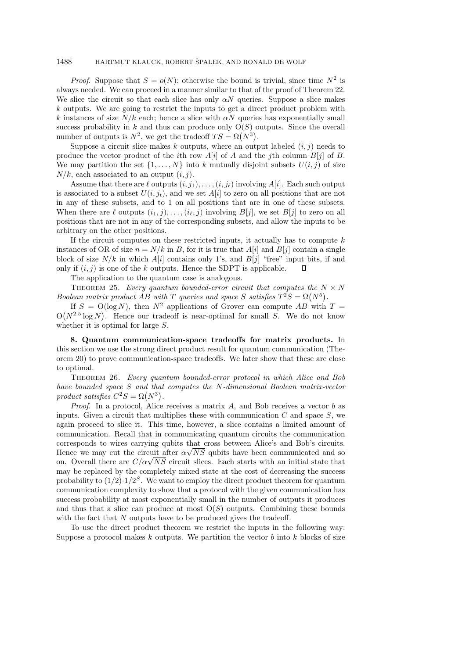### 1488 HARTMUT KLAUCK, ROBERT ŠPALEK, AND RONALD DE WOLF

*Proof.* Suppose that  $S = o(N)$ ; otherwise the bound is trivial, since time  $N^2$  is always needed. We can proceed in a manner similar to that of the proof of Theorem 22. We slice the circuit so that each slice has only  $\alpha N$  queries. Suppose a slice makes k outputs. We are going to restrict the inputs to get a direct product problem with k instances of size  $N/k$  each; hence a slice with  $\alpha N$  queries has exponentially small success probability in k and thus can produce only  $O(S)$  outputs. Since the overall number of outputs is  $N^2$ , we get the tradeoff  $TS = \Omega(N^3)$ .

Suppose a circuit slice makes k outputs, where an output labeled  $(i, j)$  needs to produce the vector product of the *i*th row  $A[i]$  of A and the *j*th column  $B[j]$  of B. We may partition the set  $\{1, \ldots, N\}$  into k mutually disjoint subsets  $U(i, j)$  of size  $N/k$ , each associated to an output  $(i, j)$ .

Assume that there are  $\ell$  outputs  $(i, j_1), \ldots, (i, j_\ell)$  involving  $A[i]$ . Each such output is associated to a subset  $U(i, j_t)$ , and we set  $A[i]$  to zero on all positions that are not in any of these subsets, and to 1 on all positions that are in one of these subsets. When there are  $\ell$  outputs  $(i_1, j), \ldots, (i_\ell, j)$  involving  $B[j]$ , we set  $B[j]$  to zero on all positions that are not in any of the corresponding subsets, and allow the inputs to be arbitrary on the other positions.

If the circuit computes on these restricted inputs, it actually has to compute  $k$ instances of OR of size  $n = N/k$  in B, for it is true that  $A[i]$  and  $B[i]$  contain a single block of size  $N/k$  in which  $A[i]$  contains only 1's, and  $B[i]$  "free" input bits, if and only if  $(i, j)$  is one of the k outputs. Hence the SDPT is applicable.  $\Box$ 

The application to the quantum case is analogous.

THEOREM 25. Every quantum bounded-error circuit that computes the  $N \times N$ Boolean matrix product AB with T queries and space S satisfies  $T^2S = \Omega(N^5)$ .

If  $S = O(\log N)$ , then  $N^2$  applications of Grover can compute AB with  $T =$  $O(N^{2.5} \log N)$ . Hence our tradeoff is near-optimal for small S. We do not know whether it is optimal for large S.

8. Quantum communication-space tradeoffs for matrix products. In this section we use the strong direct product result for quantum communication (Theorem 20) to prove communication-space tradeoffs. We later show that these are close to optimal.

THEOREM 26. Every quantum bounded-error protocol in which Alice and Bob have bounded space S and that computes the N-dimensional Boolean matrix-vector product satisfies  $C^2S = \Omega(N^3)$ .

*Proof.* In a protocol, Alice receives a matrix  $A$ , and Bob receives a vector  $b$  as inputs. Given a circuit that multiplies these with communication  $C$  and space  $S$ , we again proceed to slice it. This time, however, a slice contains a limited amount of communication. Recall that in communicating quantum circuits the communication corresponds to wires carrying qubits that cross between Alice's and Bob's circuits. Hence we may cut the circuit after  $\alpha\sqrt{NS}$  qubits have been communicated and so Hence we may cut the circuit after  $\alpha \sqrt{NS}$  qubits have been communicated and so on. Overall there are  $C/\alpha \sqrt{NS}$  circuit slices. Each starts with an initial state that may be replaced by the completely mixed state at the cost of decreasing the success probability to  $(1/2) \cdot 1/2^S$ . We want to employ the direct product theorem for quantum communication complexity to show that a protocol with the given communication has success probability at most exponentially small in the number of outputs it produces and thus that a slice can produce at most  $O(S)$  outputs. Combining these bounds with the fact that  $N$  outputs have to be produced gives the tradeoff.

To use the direct product theorem we restrict the inputs in the following way: Suppose a protocol makes  $k$  outputs. We partition the vector  $b$  into  $k$  blocks of size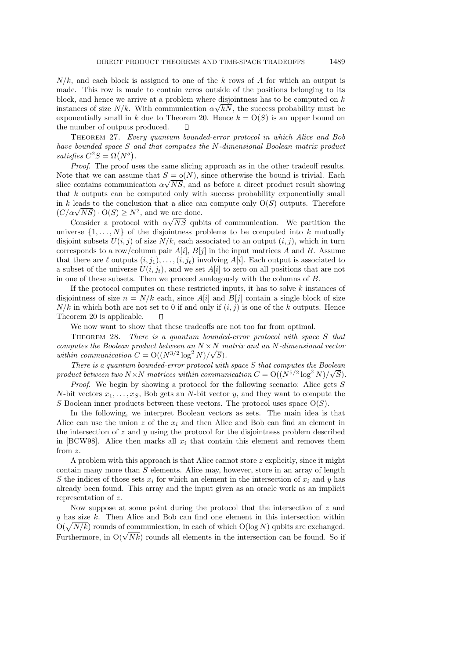$N/k$ , and each block is assigned to one of the k rows of A for which an output is made. This row is made to contain zeros outside of the positions belonging to its block, and hence we arrive at a problem where disjointness has to be computed on  $k$ instances of size  $N/k$ . With communication  $\alpha\sqrt{k}N$ , the success probability must be exponentially small in k due to Theorem 20. Hence  $k = O(S)$  is an upper bound on the number of outputs produced. П

Theorem 27. Every quantum bounded-error protocol in which Alice and Bob have bounded space S and that computes the N-dimensional Boolean matrix product satisfies  $C^2S = \Omega(N^5)$ .

Proof. The proof uses the same slicing approach as in the other tradeoff results. Note that we can assume that  $S = o(N)$ , since otherwise the bound is trivial. Each slice contains communication  $\alpha\sqrt{NS}$ , and as before a direct product result showing that  $k$  outputs can be computed only with success probability exponentially small in k leads to the conclusion that a slice can compute only  $O(S)$  outputs. Therefore in k leads to the conclusion that a slice ca<br>  $(C/\alpha\sqrt{NS}) \cdot O(S) \ge N^2$ , and we are done.

Consider a protocol with  $\alpha\sqrt{NS}$  qubits of communication. We partition the universe  $\{1, \ldots, N\}$  of the disjointness problems to be computed into k mutually disjoint subsets  $U(i, j)$  of size  $N/k$ , each associated to an output  $(i, j)$ , which in turn corresponds to a row/column pair  $A[i], B[j]$  in the input matrices A and B. Assume that there are  $\ell$  outputs  $(i, j_1), \ldots, (i, j_\ell)$  involving  $A[i]$ . Each output is associated to a subset of the universe  $U(i, j_t)$ , and we set  $A[i]$  to zero on all positions that are not in one of these subsets. Then we proceed analogously with the columns of B.

If the protocol computes on these restricted inputs, it has to solve k instances of disjointness of size  $n = N/k$  each, since  $A[i]$  and  $B[j]$  contain a single block of size  $N/k$  in which both are not set to 0 if and only if  $(i, j)$  is one of the k outputs. Hence Theorem 20 is applicable. О

We now want to show that these tradeoffs are not too far from optimal.

THEOREM 28. There is a quantum bounded-error protocol with space S that computes the Boolean product between an  $N \times N$  matrix and an N-dimensional vector within communication  $C = O((N^{3/2} \log^2 N)/\sqrt{S}).$ 

There is a quantum bounded-error protocol with space S that computes the Boolean product between two  $N \times N$  matrices within communication  $C = O((N^{5/2} \log^2 N)/\sqrt{S}).$ 

Proof. We begin by showing a protocol for the following scenario: Alice gets S N-bit vectors  $x_1, \ldots, x_S$ , Bob gets an N-bit vector y, and they want to compute the S Boolean inner products between these vectors. The protocol uses space  $O(S)$ .

In the following, we interpret Boolean vectors as sets. The main idea is that Alice can use the union z of the  $x_i$  and then Alice and Bob can find an element in the intersection of  $z$  and  $y$  using the protocol for the disjointness problem described in [BCW98]. Alice then marks all  $x_i$  that contain this element and removes them from z.

A problem with this approach is that Alice cannot store  $z$  explicitly, since it might contain many more than  $S$  elements. Alice may, however, store in an array of length S the indices of those sets  $x_i$  for which an element in the intersection of  $x_i$  and y has already been found. This array and the input given as an oracle work as an implicit representation of z.

Now suppose at some point during the protocol that the intersection of  $z$  and  $y$  has size  $k$ . Then Alice and Bob can find one element in this intersection within  $O(\sqrt{N/k})$  rounds of communication, in each of which  $O(\log N)$  qubits are exchanged.  $O(\sqrt{N/k})$  rounds of communication, in each of which  $O(\log N)$  qubits are exchanged.<br>Furthermore, in  $O(\sqrt{Nk})$  rounds all elements in the intersection can be found. So if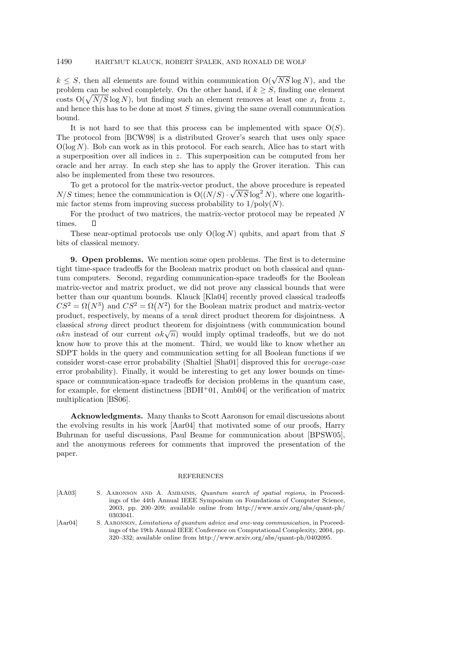$k \leq S$ , then all elements are found within communication  $O(\sqrt{NS}\log N)$ , and the problem can be solved completely. On the other hand, if  $k \geq S$ , finding one element costs  $O(\sqrt{N/S} \log N)$ , but finding such an element removes at least one  $x_i$  from z, and hence this has to be done at most  $S$  times, giving the same overall communication bound.

It is not hard to see that this process can be implemented with space  $O(S)$ . The protocol from [BCW98] is a distributed Grover's search that uses only space  $O(\log N)$ . Bob can work as in this protocol. For each search, Alice has to start with a superposition over all indices in z. This superposition can be computed from her oracle and her array. In each step she has to apply the Grover iteration. This can also be implemented from these two resources.

To get a protocol for the matrix-vector product, the above procedure is repeated  $N/S$  times; hence the communication is  $O((N/S) \cdot \sqrt{NS} \log^2 N)$ , where one logarithmic factor stems from improving success probability to  $1/\text{poly}(N)$ .

For the product of two matrices, the matrix-vector protocol may be repeated N times.

These near-optimal protocols use only  $O(log N)$  qubits, and apart from that S bits of classical memory.

9. Open problems. We mention some open problems. The first is to determine tight time-space tradeoffs for the Boolean matrix product on both classical and quantum computers. Second, regarding communication-space tradeoffs for the Boolean matrix-vector and matrix product, we did not prove any classical bounds that were better than our quantum bounds. Klauck [Kla04] recently proved classical tradeoffs  $CS^2 = \Omega(N^3)$  and  $CS^2 = \Omega(N^2)$  for the Boolean matrix product and matrix-vector product, respectively, by means of a weak direct product theorem for disjointness. A classical strong direct product theorem for disjointness (with communication bound classical *strong* direct product theorem for disjointness (with communication bound  $\alpha k n$  instead of our current  $\alpha k \sqrt{n}$ ) would imply optimal tradeoffs, but we do not know how to prove this at the moment. Third, we would like to know whether an SDPT holds in the query and communication setting for all Boolean functions if we consider worst-case error probability (Shaltiel [Sha01] disproved this for average-case error probability). Finally, it would be interesting to get any lower bounds on timespace or communication-space tradeoffs for decision problems in the quantum case, for example, for element distinctness  $[BDH<sup>+</sup>01, Amb04]$  or the verification of matrix multiplication  $[B\check{S}06]$ .

Acknowledgments. Many thanks to Scott Aaronson for email discussions about the evolving results in his work [Aar04] that motivated some of our proofs, Harry Buhrman for useful discussions, Paul Beame for communication about [BPSW05], and the anonymous referees for comments that improved the presentation of the paper.

## REFERENCES

[AA03] S. AARONSON AND A. AMBAINIS, Quantum search of spatial regions, in Proceedings of the 44th Annual IEEE Symposium on Foundations of Computer Science, 2003, pp. 200–209; available online from http://www.arxiv.org/abs/quant-ph/ 0303041.

[Aar04] S. AARONSON, *Limitations of quantum advice and one-way communication*, in Proceedings of the 19th Annual IEEE Conference on Computational Complexity, 2004, pp. 320–332; available online from http://www.arxiv.org/abs/quant-ph/0402095.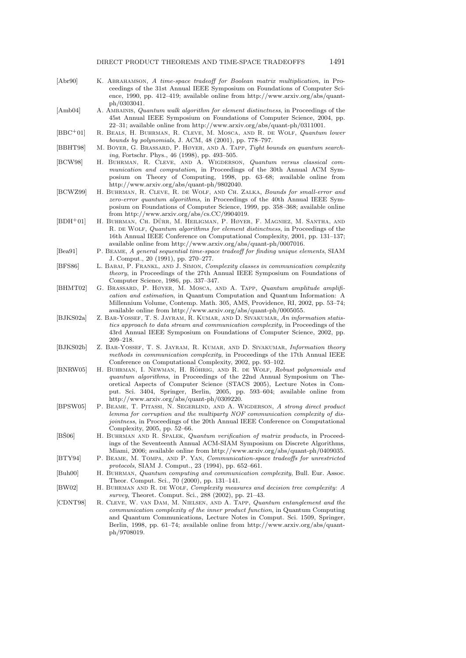| [Abr90]            | K. ABRAHAMSON, A time-space tradeoff for Boolean matrix multiplication, in Pro-<br>ceedings of the 31st Annual IEEE Symposium on Foundations of Computer Sci-<br>ence, 1990, pp. 412–419; available online from http://www.arxiv.org/abs/quant-<br>ph/0303041.                                                                                                                  |
|--------------------|---------------------------------------------------------------------------------------------------------------------------------------------------------------------------------------------------------------------------------------------------------------------------------------------------------------------------------------------------------------------------------|
| [Amb04]            | A. AMBAINIS, <i>Quantum walk algorithm for element distinctness</i> , in Proceedings of the<br>45st Annual IEEE Symposium on Foundations of Computer Science, 2004, pp.<br>22–31; available online from http://www.arxiv.org/abs/quant-ph/0311001.                                                                                                                              |
| $[BBC + 01]$       | R. BEALS, H. BUHRMAN, R. CLEVE, M. MOSCA, AND R. DE WOLF, Quantum lower<br>bounds by polynomials, J. ACM, $48$ (2001), pp. 778–797.                                                                                                                                                                                                                                             |
| [BBHT98]           | M. BOYER, G. BRASSARD, P. HØYER, AND A. TAPP, Tight bounds on quantum search-<br>ing, Fortschr. Phys., 46 (1998), pp. 493-505.                                                                                                                                                                                                                                                  |
| BCW98              | H. BUHRMAN, R. CLEVE, AND A. WIGDERSON, Quantum versus classical com-<br>munication and computation, in Proceedings of the 30th Annual ACM Sym-                                                                                                                                                                                                                                 |
| [BCWZ99]           | posium on Theory of Computing, 1998, pp. 63–68; available online from<br>http://www.arxiv.org/abs/quant-ph/9802040.<br>H. BUHRMAN, R. CLEVE, R. DE WOLF, AND CH. ZALKA, Bounds for small-error and<br>zero-error quantum algorithms, in Proceedings of the 40th Annual IEEE Sym-                                                                                                |
| $[BDH+01]$         | posium on Foundations of Computer Science, 1999, pp. 358–368; available online<br>from http://www.arxiv.org/abs/cs. $CC/9904019$ .<br>H. BUHRMAN, CH. DÜRR, M. HEILIGMAN, P. HØYER, F. MAGNIEZ, M. SANTHA, AND<br>R. DE WOLF, Quantum algorithms for element distinctness, in Proceedings of the<br>16th Annual IEEE Conference on Computational Complexity, 2001, pp. 131–137; |
| Bea91              | available online from http://www.arxiv.org/abs/quant-ph/0007016.<br>P. BEAME, A general sequential time-space tradeoff for finding unique elements, SIAM                                                                                                                                                                                                                        |
| [BFS86]            | J. Comput., 20 (1991), pp. 270–277.<br>L. BABAI, P. FRANKL, AND J. SIMON, Complexity classes in communication complexity<br><i>theory</i> , in Proceedings of the 27th Annual IEEE Symposium on Foundations of                                                                                                                                                                  |
| BHMT02             | Computer Science, 1986, pp. 337–347.<br>G. BRASSARD, P. HØYER, M. MOSCA, AND A. TAPP, Quantum amplitude amplifi-<br>cation and estimation, in Quantum Computation and Quantum Information: A<br>Millennium Volume, Contemp. Math. 305, AMS, Providence, RI, 2002, pp. 53–74;                                                                                                    |
| [BJKS02a]          | available online from http://www.arxiv.org/abs/quant-ph/0005055.<br>Z. BAR-YOSSEF, T. S. JAYRAM, R. KUMAR, AND D. SIVAKUMAR, An information statis-<br>tics approach to data stream and communication complexity, in Proceedings of the<br>43rd Annual IEEE Symposium on Foundations of Computer Science, 2002, pp.<br>$209 - 218.$                                             |
| [ <b>BJKS02b</b> ] | Z. BAR-YOSSEF, T. S. JAYRAM, R. KUMAR, AND D. SIVAKUMAR, Information theory<br>methods in communication complexity, in Proceedings of the 17th Annual IEEE<br>Conference on Computational Complexity, 2002, pp. 93-102.                                                                                                                                                         |
| [BNRW05]           | H. BUHRMAN, I. NEWMAN, H. RÖHRIG, AND R. DE WOLF, Robust polynomials and<br>quantum algorithms, in Proceedings of the 22nd Annual Symposium on The-<br>oretical Aspects of Computer Science (STACS 2005), Lecture Notes in Com-<br>put. Sci. 3404, Springer, Berlin, 2005, pp. 593–604; available online from                                                                   |
| [BFSW05]           | http://www.arxiv.org/abs/quant-ph/0309220.<br>P. BEAME, T. PITASSI, N. SEGERLIND, AND A. WIGDERSON, A strong direct product<br>lemma for corruption and the multiparty NOF communication complexity of dis-<br>jointness, in Proceedings of the 20th Annual IEEE Conference on Computational<br>Complexity, 2005, pp. 52–66.                                                    |
| BS06               | H. BUHRMAN AND R. SPALEK, Quantum verification of matrix products, in Proceed-<br>ings of the Seventeenth Annual ACM-SIAM Symposium on Discrete Algorithms,<br>Miami, 2006; available online from http://www.arxiv.org/abs/quant-ph/0409035.                                                                                                                                    |
| [BTY94]            | P. BEAME, M. TOMPA, AND P. YAN, Communication-space tradeoffs for unrestricted<br><i>protocols</i> , SIAM J. Comput., 23 (1994), pp. 652–661.                                                                                                                                                                                                                                   |
| [Buh00]            | H. BUHRMAN, Quantum computing and communication complexity, Bull. Eur. Assoc.<br>Theor. Comput. Sci., 70 (2000), pp. 131-141.                                                                                                                                                                                                                                                   |
| [BW02]             | H. BUHRMAN AND R. DE WOLF, Complexity measures and decision tree complexity: A<br>survey, Theoret. Comput. Sci., 288 (2002), pp. 21–43.                                                                                                                                                                                                                                         |
| CDNT98             | R. CLEVE, W. VAN DAM, M. NIELSEN, AND A. TAPP, Quantum entanglement and the<br>communication complexity of the inner product function, in Quantum Computing<br>and Quantum Communications, Lecture Notes in Comput. Sci. 1509, Springer,<br>Berlin, 1998, pp. 61–74; available online from http://www.arxiv.org/abs/quant-<br>ph/9708019.                                       |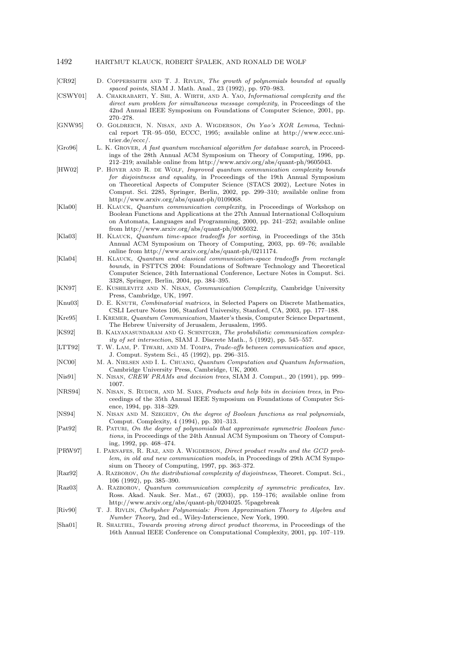| 1492 | HARTMUT KLAUCK, ROBERT SPALEK, AND RONALD DE WOLF |  |  |  |
|------|---------------------------------------------------|--|--|--|
|      |                                                   |  |  |  |

| [CR92]                | D. COPPERSMITH AND T. J. RIVLIN, The growth of polynomials bounded at equally                                                                                                                                                                                                                                                                                       |
|-----------------------|---------------------------------------------------------------------------------------------------------------------------------------------------------------------------------------------------------------------------------------------------------------------------------------------------------------------------------------------------------------------|
| [CSWY01]              | spaced points, SIAM J. Math. Anal., 23 (1992), pp. 970–983.<br>A. CHAKRABARTI, Y. SHI, A. WIRTH, AND A. YAO, Informational complexity and the<br><i>direct sum problem for simultaneous message complexity</i> , in Proceedings of the                                                                                                                              |
|                       | 42nd Annual IEEE Symposium on Foundations of Computer Science, 2001, pp.<br>$270 - 278.$                                                                                                                                                                                                                                                                            |
| [GNW95]               | O. GOLDREICH, N. NISAN, AND A. WIGDERSON, On Yao's XOR Lemma, Techni-<br>cal report TR-95-050, ECCC, 1995; available online at http://www.eccc.uni-<br>trier.de/eccc/.                                                                                                                                                                                              |
| [Gro96]               | L. K. GROVER, A fast quantum mechanical algorithm for database search, in Proceed-<br>ings of the 28th Annual ACM Symposium on Theory of Computing, 1996, pp.<br>212–219; available online from http://www.arxiv.org/abs/quant-ph/9605043.                                                                                                                          |
| HW02                  | P. HØYER AND R. DE WOLF, Improved quantum communication complexity bounds<br>for disjointness and equality, in Proceedings of the 19th Annual Symposium<br>on Theoretical Aspects of Computer Science (STACS 2002), Lecture Notes in<br>Comput. Sci. 2285, Springer, Berlin, 2002, pp. 299–310; available online from<br>http://www.arxiv.org/abs/quant-ph/0109068. |
| [Kla00]               | H. KLAUCK, <i>Quantum communication complexity</i> , in Proceedings of Workshop on<br>Boolean Functions and Applications at the 27th Annual International Colloquium<br>on Automata, Languages and Programming, $2000$ , pp. $241-252$ ; available online<br>from http://www.arxiv.org/abs/quant-ph/0005032.                                                        |
| [Kla03]               | H. KLAUCK, Quantum time-space tradeoffs for sorting, in Proceedings of the 35th<br>Annual ACM Symposium on Theory of Computing, 2003, pp. 69–76; available<br>online from http://www.arxiv.org/abs/quant-ph/0211174.                                                                                                                                                |
| [Kla04]               | H. KLAUCK, Quantum and classical communication-space tradeoffs from rectangle<br><i>bounds</i> , in FSTTCS 2004: Foundations of Software Technology and Theoretical<br>Computer Science, 24th International Conference, Lecture Notes in Comput. Sci.<br>3328, Springer, Berlin, 2004, pp. 384–395.                                                                 |
| [KN97]                | E. KUSHILEVITZ AND N. NISAN, Communication Complexity, Cambridge University<br>Press, Cambridge, UK, 1997.                                                                                                                                                                                                                                                          |
| [Knu03]               | D. E. KNUTH, <i>Combinatorial matrices</i> , in Selected Papers on Discrete Mathematics,<br>CSLI Lecture Notes 106, Stanford University, Stanford, CA, 2003, pp. 177–188.                                                                                                                                                                                           |
| [Kre95]               | I. KREMER, <i>Quantum Communication</i> , Master's thesis, Computer Science Department,<br>The Hebrew University of Jerusalem, Jerusalem, 1995.                                                                                                                                                                                                                     |
| KS92                  | B. KALYANASUNDARAM AND G. SCHNITGER, The probabilistic communication complex-<br><i>ity of set intersection</i> , SIAM J. Discrete Math., 5 (1992), pp. 545–557.                                                                                                                                                                                                    |
| $[\text{LTT92}]$      | T. W. LAM, P. TIWARI, AND M. TOMPA, Trade-offs between communication and space,<br>J. Comput. System Sci., 45 (1992), pp. 296–315.                                                                                                                                                                                                                                  |
| NCO0                  | M. A. NIELSEN AND I. L. CHUANG, Quantum Computation and Quantum Information,<br>Cambridge University Press, Cambridge, UK, 2000.                                                                                                                                                                                                                                    |
| $\vert$ Nis $91\vert$ | N. NISAN, <i>CREW PRAMs and decision trees</i> , SIAM J. Comput., 20 (1991), pp. 999–<br>1007.                                                                                                                                                                                                                                                                      |
| NRS94                 | N. NISAN, S. RUDICH, AND M. SAKS, Products and help bits in decision trees, in Pro-<br>ceedings of the 35th Annual IEEE Symposium on Foundations of Computer Sci-<br>ence, 1994, pp. 318–329.                                                                                                                                                                       |
| [NS94]                | N. NISAN AND M. SZEGEDY, On the degree of Boolean functions as real polynomials,<br>Comput. Complexity, 4 (1994), pp. 301-313.                                                                                                                                                                                                                                      |
| [Pat92]               | R. PATURI, On the degree of polynomials that approximate symmetric Boolean func-<br>tions, in Proceedings of the 24th Annual ACM Symposium on Theory of Comput-<br>ing, 1992, pp. 468–474.                                                                                                                                                                          |
| [PRW97]               | I. PARNAFES, R. RAZ, AND A. WIGDERSON, Direct product results and the GCD prob-<br>lem, in old and new communication models, in Proceedings of 29th ACM Sympo-<br>sium on Theory of Computing, 1997, pp. 363–372.                                                                                                                                                   |
| [Raz92]               | A. RAZBOROV, On the distributional complexity of disjointness, Theoret. Comput. Sci.,<br>$106$ (1992), pp. 385–390.                                                                                                                                                                                                                                                 |
| [Raz03]               | A. RAZBOROV, Quantum communication complexity of symmetric predicates, Izv.<br>Ross. Akad. Nauk. Ser. Mat., 67 (2003), pp. 159–176; available online from<br>http://www.arxiv.org/abs/quant-ph/0204025. %pagebreak                                                                                                                                                  |
| $[\mathrm{Riv}90]$    | T. J. RIVLIN, Chebyshev Polynomials: From Approximation Theory to Algebra and<br>Number Theory, 2nd ed., Wiley-Interscience, New York, 1990.                                                                                                                                                                                                                        |
| [Sha01]               | R. SHALTIEL, Towards proving strong direct product theorems, in Proceedings of the<br>16th Annual IEEE Conference on Computational Complexity, 2001, pp. 107–119.                                                                                                                                                                                                   |